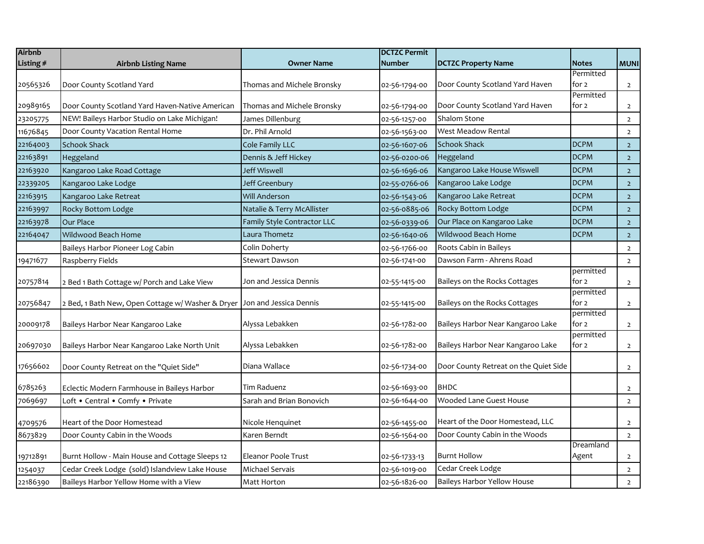| <b>Airbnb</b> |                                                   |                             | <b>DCTZC Permit</b> |                                       |                    |                |
|---------------|---------------------------------------------------|-----------------------------|---------------------|---------------------------------------|--------------------|----------------|
| Listing #     | <b>Airbnb Listing Name</b>                        | <b>Owner Name</b>           | <b>Number</b>       | <b>DCTZC Property Name</b>            | <b>Notes</b>       | <b>MUNI</b>    |
|               |                                                   |                             |                     |                                       | Permitted          |                |
| 20565326      | Door County Scotland Yard                         | Thomas and Michele Bronsky  | 02-56-1794-00       | Door County Scotland Yard Haven       | for 2              | $\overline{2}$ |
|               |                                                   |                             |                     |                                       | Permitted          |                |
| 20989165      | Door County Scotland Yard Haven-Native American   | Thomas and Michele Bronsky  | 02-56-1794-00       | Door County Scotland Yard Haven       | for 2              | $\overline{2}$ |
| 23205775      | NEW! Baileys Harbor Studio on Lake Michigan!      | James Dillenburg            | 02-56-1257-00       | <b>Shalom Stone</b>                   |                    | $\overline{2}$ |
| 11676845      | Door County Vacation Rental Home                  | Dr. Phil Arnold             | 02-56-1563-00       | West Meadow Rental                    |                    | $\overline{2}$ |
| 22164003      | <b>Schook Shack</b>                               | Cole Family LLC             | 02-56-1607-06       | <b>Schook Shack</b>                   | <b>DCPM</b>        | $\overline{2}$ |
| 22163891      | Heggeland                                         | Dennis & Jeff Hickey        | 02-56-0200-06       | Heggeland                             | <b>DCPM</b>        | $\overline{2}$ |
| 22163920      | Kangaroo Lake Road Cottage                        | Jeff Wiswell                | 02-56-1696-06       | Kangaroo Lake House Wiswell           | <b>DCPM</b>        | $\overline{2}$ |
| 22339205      | Kangaroo Lake Lodge                               | Jeff Greenbury              | 02-55-0766-06       | Kangaroo Lake Lodge                   | <b>DCPM</b>        | $\overline{2}$ |
| 22163915      | Kangaroo Lake Retreat                             | Will Anderson               | 02-56-1543-06       | Kangaroo Lake Retreat                 | <b>DCPM</b>        | $\overline{2}$ |
| 22163997      | Rocky Bottom Lodge                                | Natalie & Terry McAllister  | 02-56-0885-06       | Rocky Bottom Lodge                    | <b>DCPM</b>        | 2 <sup>1</sup> |
| 22163978      | Our Place                                         | Family Style Contractor LLC | 02-56-0339-06       | Our Place on Kangaroo Lake            | <b>DCPM</b>        | $\overline{2}$ |
| 22164047      | Wildwood Beach Home                               | Laura Thometz               | 02-56-1640-06       | Wildwood Beach Home                   | <b>DCPM</b>        | $\overline{2}$ |
|               | Baileys Harbor Pioneer Log Cabin                  | Colin Doherty               | 02-56-1766-00       | Roots Cabin in Baileys                |                    | $\overline{2}$ |
| 19471677      | Raspberry Fields                                  | <b>Stewart Dawson</b>       | 02-56-1741-00       | Dawson Farm - Ahrens Road             |                    | $\overline{2}$ |
|               |                                                   |                             |                     |                                       | permitted          |                |
| 20757814      | 2 Bed 1 Bath Cottage w/ Porch and Lake View       | Jon and Jessica Dennis      | 02-55-1415-00       | Baileys on the Rocks Cottages         | for 2              | $\overline{2}$ |
| 20756847      | 2 Bed, 1 Bath New, Open Cottage w/ Washer & Dryer | Jon and Jessica Dennis      | 02-55-1415-00       | Baileys on the Rocks Cottages         | permitted<br>for 2 |                |
|               |                                                   |                             |                     |                                       | permitted          | $\overline{2}$ |
| 20009178      | Baileys Harbor Near Kangaroo Lake                 | Alyssa Lebakken             | 02-56-1782-00       | Baileys Harbor Near Kangaroo Lake     | for 2              | $\overline{2}$ |
|               |                                                   |                             |                     |                                       | permitted          |                |
| 20697030      | Baileys Harbor Near Kangaroo Lake North Unit      | Alyssa Lebakken             | 02-56-1782-00       | Baileys Harbor Near Kangaroo Lake     | for 2              | $\overline{2}$ |
|               |                                                   | Diana Wallace               |                     | Door County Retreat on the Quiet Side |                    |                |
| 17656602      | Door County Retreat on the "Quiet Side"           |                             | 02-56-1734-00       |                                       |                    | $\overline{2}$ |
| 6785263       | Eclectic Modern Farmhouse in Baileys Harbor       | Tim Raduenz                 | 02-56-1693-00       | <b>BHDC</b>                           |                    | $\overline{2}$ |
| 7069697       | Loft . Central . Comfy . Private                  | Sarah and Brian Bonovich    | 02-56-1644-00       | Wooded Lane Guest House               |                    | $\overline{2}$ |
|               |                                                   |                             |                     |                                       |                    |                |
| 4709576       | Heart of the Door Homestead                       | Nicole Henquinet            | 02-56-1455-00       | Heart of the Door Homestead, LLC      |                    | $\overline{2}$ |
| 8673829       | Door County Cabin in the Woods                    | Karen Berndt                | 02-56-1564-00       | Door County Cabin in the Woods        |                    | $\overline{2}$ |
|               |                                                   |                             |                     |                                       | Dreamland          |                |
| 19712891      | Burnt Hollow - Main House and Cottage Sleeps 12   | <b>Eleanor Poole Trust</b>  | 02-56-1733-13       | <b>Burnt Hollow</b>                   | Agent              | $\overline{2}$ |
| 1254037       | Cedar Creek Lodge (sold) Islandview Lake House    | Michael Servais             | 02-56-1019-00       | Cedar Creek Lodge                     |                    | $\overline{2}$ |
| 22186390      | Baileys Harbor Yellow Home with a View            | Matt Horton                 | 02-56-1826-00       | Baileys Harbor Yellow House           |                    | $\overline{2}$ |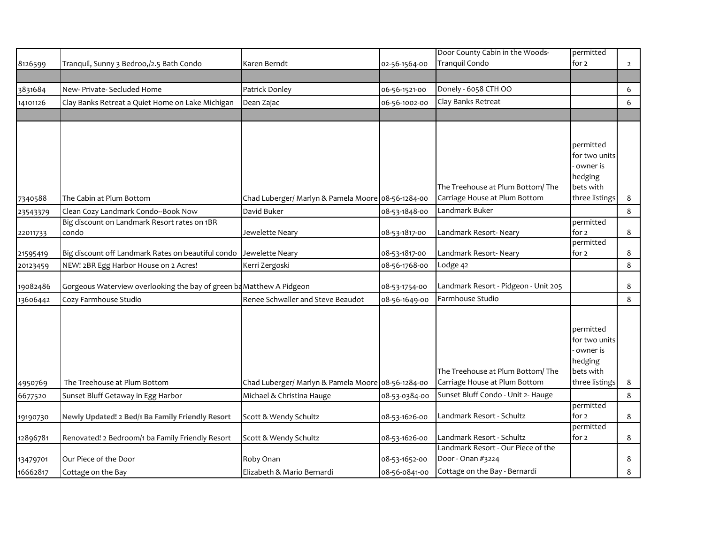|          |                                                                      |                                                    |               | Door County Cabin in the Woods-      | permitted                  |                |
|----------|----------------------------------------------------------------------|----------------------------------------------------|---------------|--------------------------------------|----------------------------|----------------|
| 8126599  | Tranquil, Sunny 3 Bedroo,/2.5 Bath Condo                             | Karen Berndt                                       | 02-56-1564-00 | Tranquil Condo                       | for 2                      | $\overline{2}$ |
|          |                                                                      |                                                    |               |                                      |                            |                |
| 3831684  | New- Private- Secluded Home                                          | Patrick Donley                                     | 06-56-1521-00 | Donely - 6058 CTH OO                 |                            | 6              |
| 14101126 | Clay Banks Retreat a Quiet Home on Lake Michigan                     | Dean Zajac                                         | 06-56-1002-00 | Clay Banks Retreat                   |                            | 6              |
|          |                                                                      |                                                    |               |                                      |                            |                |
|          |                                                                      |                                                    |               |                                      |                            |                |
|          |                                                                      |                                                    |               |                                      |                            |                |
|          |                                                                      |                                                    |               |                                      | permitted<br>for two units |                |
|          |                                                                      |                                                    |               |                                      | owner is                   |                |
|          |                                                                      |                                                    |               |                                      | hedging                    |                |
|          |                                                                      |                                                    |               | The Treehouse at Plum Bottom/The     | bets with                  |                |
| 7340588  | The Cabin at Plum Bottom                                             | Chad Luberger/ Marlyn & Pamela Moore 08-56-1284-00 |               | Carriage House at Plum Bottom        | three listings             | 8              |
| 23543379 | Clean Cozy Landmark Condo--Book Now                                  | David Buker                                        | 08-53-1848-00 | Landmark Buker                       |                            | 8              |
|          | Big discount on Landmark Resort rates on 1BR                         |                                                    |               |                                      | permitted                  |                |
| 22011733 | condo                                                                | Jewelette Neary                                    | 08-53-1817-00 | Landmark Resort- Neary               | for 2                      | $\bf 8$        |
|          |                                                                      |                                                    |               |                                      | permitted                  |                |
| 21595419 | Big discount off Landmark Rates on beautiful condo                   | Jewelette Neary                                    | 08-53-1817-00 | Landmark Resort- Neary               | for 2                      | 8              |
| 20123459 | NEW! 2BR Egg Harbor House on 2 Acres!                                | Kerri Zergoski                                     | 08-56-1768-00 | Lodge 42                             |                            | 8              |
| 19082486 | Gorgeous Waterview overlooking the bay of green ba Matthew A Pidgeon |                                                    | 08-53-1754-00 | Landmark Resort - Pidgeon - Unit 205 |                            | 8              |
| 13606442 | Cozy Farmhouse Studio                                                | Renee Schwaller and Steve Beaudot                  | 08-56-1649-00 | Farmhouse Studio                     |                            | 8              |
|          |                                                                      |                                                    |               |                                      |                            |                |
|          |                                                                      |                                                    |               |                                      |                            |                |
|          |                                                                      |                                                    |               |                                      | permitted                  |                |
|          |                                                                      |                                                    |               |                                      | for two units              |                |
|          |                                                                      |                                                    |               |                                      | owner is<br>hedging        |                |
|          |                                                                      |                                                    |               | The Treehouse at Plum Bottom/The     | bets with                  |                |
| 4950769  | The Treehouse at Plum Bottom                                         | Chad Luberger/ Marlyn & Pamela Moore 08-56-1284-00 |               | Carriage House at Plum Bottom        | three listings             | 8              |
| 6677520  | Sunset Bluff Getaway in Egg Harbor                                   | Michael & Christina Hauge                          | 08-53-0384-00 | Sunset Bluff Condo - Unit 2- Hauge   |                            | 8              |
|          |                                                                      |                                                    |               |                                      | permitted                  |                |
| 19190730 | Newly Updated! 2 Bed/1 Ba Family Friendly Resort                     | Scott & Wendy Schultz                              | 08-53-1626-00 | Landmark Resort - Schultz            | for 2                      | $\bf 8$        |
|          |                                                                      |                                                    |               |                                      | permitted                  |                |
| 12896781 | Renovated! 2 Bedroom/1 ba Family Friendly Resort                     | Scott & Wendy Schultz                              | 08-53-1626-00 | Landmark Resort - Schultz            | for 2                      | 8              |
|          |                                                                      |                                                    |               | Landmark Resort - Our Piece of the   |                            |                |
| 13479701 | Our Piece of the Door                                                | Roby Onan                                          | 08-53-1652-00 | Door - Onan #3224                    |                            | 8              |
| 16662817 | Cottage on the Bay                                                   | Elizabeth & Mario Bernardi                         | 08-56-0841-00 | Cottage on the Bay - Bernardi        |                            | 8              |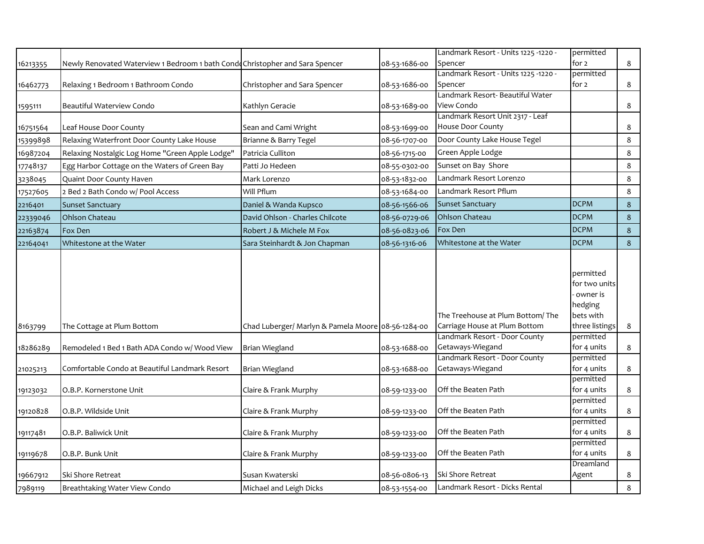|          |                                                                               |                                                    |               | Landmark Resort - Units 1225 -1220 -                              | permitted                                                                        |         |
|----------|-------------------------------------------------------------------------------|----------------------------------------------------|---------------|-------------------------------------------------------------------|----------------------------------------------------------------------------------|---------|
| 16213355 | Newly Renovated Waterview 1 Bedroom 1 bath Condo Christopher and Sara Spencer |                                                    | 08-53-1686-00 | Spencer                                                           | for 2                                                                            | 8       |
|          |                                                                               |                                                    |               | - Landmark Resort - Units 1225 -1220                              | permitted                                                                        |         |
| 16462773 | Relaxing 1 Bedroom 1 Bathroom Condo                                           | Christopher and Sara Spencer                       | 08-53-1686-00 | Spencer                                                           | for 2                                                                            | 8       |
|          |                                                                               |                                                    |               | Landmark Resort- Beautiful Water                                  |                                                                                  |         |
| 1595111  | Beautiful Waterview Condo                                                     | Kathlyn Geracie                                    | 08-53-1689-00 | View Condo                                                        |                                                                                  | 8       |
|          |                                                                               |                                                    |               | Landmark Resort Unit 2317 - Leaf<br>House Door County             |                                                                                  |         |
| 16751564 | Leaf House Door County                                                        | Sean and Cami Wright                               | 08-53-1699-00 |                                                                   |                                                                                  | 8       |
| 15399898 | Relaxing Waterfront Door County Lake House                                    | Brianne & Barry Tegel                              | 08-56-1707-00 | Door County Lake House Tegel                                      |                                                                                  | 8       |
| 16987204 | Relaxing Nostalgic Log Home "Green Apple Lodge"                               | Patricia Culliton                                  | 08-56-1715-00 | Green Apple Lodge                                                 |                                                                                  | 8       |
| 17748137 | Egg Harbor Cottage on the Waters of Green Bay                                 | Patti Jo Hedeen                                    | 08-55-0302-00 | Sunset on Bay Shore                                               |                                                                                  | 8       |
| 3238045  | Quaint Door County Haven                                                      | Mark Lorenzo                                       | 08-53-1832-00 | Landmark Resort Lorenzo                                           |                                                                                  | 8       |
| 17527605 | 2 Bed 2 Bath Condo w/ Pool Access                                             | Will Pflum                                         | 08-53-1684-00 | Landmark Resort Pflum                                             |                                                                                  | 8       |
| 2216401  | <b>Sunset Sanctuary</b>                                                       | Daniel & Wanda Kupsco                              | 08-56-1566-06 | <b>Sunset Sanctuary</b>                                           | <b>DCPM</b>                                                                      | $\bf 8$ |
| 22339046 | Ohlson Chateau                                                                | David Ohlson - Charles Chilcote                    | 08-56-0729-06 | Ohlson Chateau                                                    | <b>DCPM</b>                                                                      | 8       |
| 22163874 | Fox Den                                                                       | Robert J & Michele M Fox                           | 08-56-0823-06 | Fox Den                                                           | <b>DCPM</b>                                                                      | $\bf 8$ |
| 22164041 | Whitestone at the Water                                                       | Sara Steinhardt & Jon Chapman                      | 08-56-1316-06 | Whitestone at the Water                                           | <b>DCPM</b>                                                                      | 8       |
| 8163799  | The Cottage at Plum Bottom                                                    | Chad Luberger/ Marlyn & Pamela Moore 08-56-1284-00 |               | The Treehouse at Plum Bottom/The<br>Carriage House at Plum Bottom | permitted<br>for two units<br>owner is<br>hedging<br>bets with<br>three listings | 8       |
|          |                                                                               |                                                    |               | Landmark Resort - Door County                                     | permitted                                                                        |         |
| 18286289 | Remodeled 1 Bed 1 Bath ADA Condo w/ Wood View                                 | <b>Brian Wiegland</b>                              | 08-53-1688-00 | Getaways-Wiegand                                                  | for 4 units                                                                      | 8       |
|          |                                                                               |                                                    |               | Landmark Resort - Door County                                     | permitted                                                                        |         |
| 21025213 | Comfortable Condo at Beautiful Landmark Resort                                | Brian Wiegland                                     | 08-53-1688-00 | Getaways-Wiegand                                                  | for 4 units                                                                      | 8       |
| 19123032 | O.B.P. Kornerstone Unit                                                       | Claire & Frank Murphy                              | 08-59-1233-00 | Off the Beaten Path                                               | permitted<br>for 4 units                                                         | 8       |
| 19120828 | O.B.P. Wildside Unit                                                          | Claire & Frank Murphy                              | 08-59-1233-00 | Off the Beaten Path                                               | permitted<br>for 4 units                                                         | 8       |
|          |                                                                               |                                                    |               |                                                                   | permitted                                                                        |         |
| 19117481 | O.B.P. Baliwick Unit                                                          | Claire & Frank Murphy                              | 08-59-1233-00 | Off the Beaten Path                                               | for 4 units                                                                      | 8       |
| 19119678 | O.B.P. Bunk Unit                                                              | Claire & Frank Murphy                              | 08-59-1233-00 | Off the Beaten Path                                               | permitted<br>for 4 units                                                         | 8       |
| 19667912 | Ski Shore Retreat                                                             | Susan Kwaterski                                    | 08-56-0806-13 | Ski Shore Retreat                                                 | Dreamland<br>Agent                                                               | 8       |
| 7989119  | Breathtaking Water View Condo                                                 | Michael and Leigh Dicks                            | 08-53-1554-00 | Landmark Resort - Dicks Rental                                    |                                                                                  | 8       |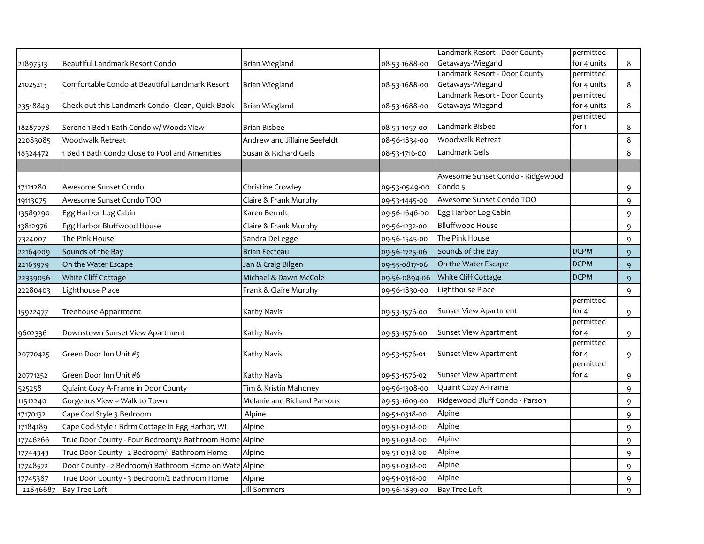|          |                                                        |                              |               | Landmark Resort - Door County    | permitted          |             |
|----------|--------------------------------------------------------|------------------------------|---------------|----------------------------------|--------------------|-------------|
| 21897513 | Beautiful Landmark Resort Condo                        | <b>Brian Wiegland</b>        | 08-53-1688-00 | Getaways-Wiegand                 | for 4 units        | 8           |
|          |                                                        |                              |               | Landmark Resort - Door County    | permitted          |             |
| 21025213 | Comfortable Condo at Beautiful Landmark Resort         | Brian Wiegland               | 08-53-1688-00 | Getaways-Wiegand                 | for 4 units        | 8           |
|          |                                                        |                              |               | Landmark Resort - Door County    | permitted          |             |
| 23518849 | Check out this Landmark Condo--Clean, Quick Book       | Brian Wiegland               | 08-53-1688-00 | Getaways-Wiegand                 | for 4 units        | 8           |
|          |                                                        |                              |               |                                  | permitted          |             |
| 18287078 | Serene 1 Bed 1 Bath Condo w/ Woods View                | <b>Brian Bisbee</b>          | 08-53-1057-00 | Landmark Bisbee                  | for 1              | 8           |
| 22083085 | <b>Woodwalk Retreat</b>                                | Andrew and Jillaine Seefeldt | 08-56-1834-00 | Woodwalk Retreat                 |                    | 8           |
| 18324472 | 1 Bed 1 Bath Condo Close to Pool and Amenities         | Susan & Richard Geils        | 08-53-1716-00 | Landmark Geils                   |                    | 8           |
|          |                                                        |                              |               |                                  |                    |             |
|          |                                                        |                              |               | Awesome Sunset Condo - Ridgewood |                    |             |
| 17121280 | Awesome Sunset Condo                                   | Christine Crowley            | 09-53-0549-00 | Condo 5                          |                    | 9           |
| 19113075 | Awesome Sunset Condo TOO                               | Claire & Frank Murphy        | 09-53-1445-00 | Awesome Sunset Condo TOO         |                    | 9           |
| 13589290 | Egg Harbor Log Cabin                                   | Karen Berndt                 | 09-56-1646-00 | Egg Harbor Log Cabin             |                    | 9           |
| 13812976 | Egg Harbor Bluffwood House                             | Claire & Frank Murphy        | 09-56-1232-00 | <b>Blluffwood House</b>          |                    | 9           |
| 7324007  | The Pink House                                         | Sandra DeLegge               | 09-56-1545-00 | The Pink House                   |                    | 9           |
| 22164009 | Sounds of the Bay                                      | <b>Brian Fecteau</b>         | 09-56-1725-06 | Sounds of the Bay                | <b>DCPM</b>        | 9           |
| 22163979 | On the Water Escape                                    | Jan & Craig Bilgen           | 09-55-0817-06 | On the Water Escape              | <b>DCPM</b>        | 9           |
| 22339056 | White Cliff Cottage                                    | Michael & Dawn McCole        | 09-56-0894-06 | White Cliff Cottage              | <b>DCPM</b>        | 9           |
| 22280403 | Lighthouse Place                                       | Frank & Claire Murphy        | 09-56-1830-00 | Lighthouse Place                 |                    | 9           |
|          |                                                        |                              |               |                                  | permitted          |             |
| 15922477 | Treehouse Appartment                                   | Kathy Navis                  | 09-53-1576-00 | Sunset View Apartment            | for 4              | 9           |
|          |                                                        |                              |               |                                  | permitted          |             |
| 9602336  | Downstown Sunset View Apartment                        | Kathy Navis                  | 09-53-1576-00 | <b>Sunset View Apartment</b>     | for 4<br>permitted | 9           |
|          | Green Door Inn Unit #5                                 | Kathy Navis                  | 09-53-1576-01 | Sunset View Apartment            | for 4              |             |
| 20770425 |                                                        |                              |               |                                  | permitted          | 9           |
| 20771252 | Green Door Inn Unit #6                                 | Kathy Navis                  | 09-53-1576-02 | Sunset View Apartment            | for $4$            | 9           |
| 525258   | Quiaint Cozy A-Frame in Door County                    | Tim & Kristin Mahoney        | 09-56-1308-00 | Quaint Cozy A-Frame              |                    | 9           |
| 11512240 | Gorgeous View ~ Walk to Town                           | Melanie and Richard Parsons  | 09-53-1609-00 | Ridgewood Bluff Condo - Parson   |                    | 9           |
| 17170132 | Cape Cod Style 3 Bedroom                               | Alpine                       | 09-51-0318-00 | Alpine                           |                    | 9           |
| 17184189 | Cape Cod-Style 1 Bdrm Cottage in Egg Harbor, WI        | Alpine                       | 09-51-0318-00 | Alpine                           |                    | 9           |
| 17746266 | True Door County - Four Bedroom/2 Bathroom Home        | e Alpine                     | 09-51-0318-00 | Alpine                           |                    | 9           |
| 17744343 | True Door County - 2 Bedroom/1 Bathroom Home           | Alpine                       | 09-51-0318-00 | Alpine                           |                    | 9           |
| 17748572 | Door County - 2 Bedroom/1 Bathroom Home on Wate Alpine |                              | 09-51-0318-00 | Alpine                           |                    | 9           |
| 17745387 | True Door County - 3 Bedroom/2 Bathroom Home           | Alpine                       | 09-51-0318-00 | Alpine                           |                    | 9           |
| 22846687 | <b>Bay Tree Loft</b>                                   | Jill Sommers                 | 09-56-1839-00 | <b>Bay Tree Loft</b>             |                    | $\mathsf q$ |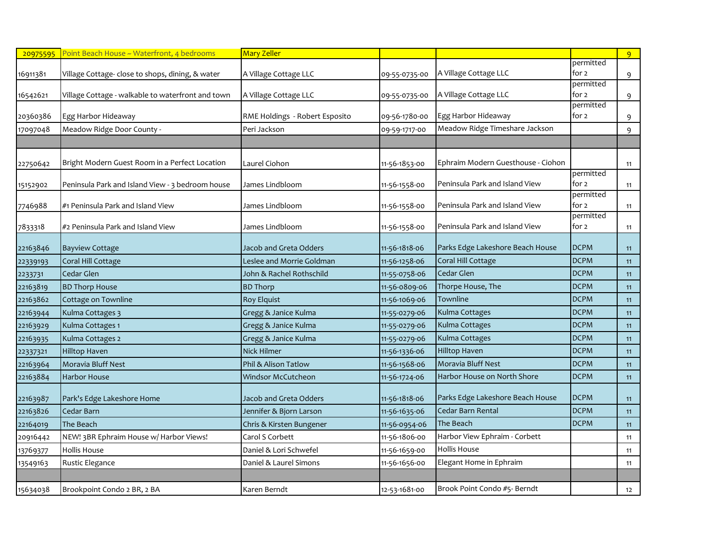| 20975595 | Point Beach House ~ Waterfront, 4 bedrooms        | <b>Mary Zeller</b>             |               |                                    |                    | 9  |
|----------|---------------------------------------------------|--------------------------------|---------------|------------------------------------|--------------------|----|
|          |                                                   |                                |               |                                    | permitted          |    |
| 16911381 | Village Cottage- close to shops, dining, & water  | A Village Cottage LLC          | 09-55-0735-00 | A Village Cottage LLC              | for 2              | 9  |
|          |                                                   |                                |               |                                    | permitted          |    |
| 16542621 | Village Cottage - walkable to waterfront and town | A Village Cottage LLC          | 09-55-0735-00 | A Village Cottage LLC              | for 2<br>permitted | 9  |
| 20360386 | Egg Harbor Hideaway                               | RME Holdings - Robert Esposito | 09-56-1780-00 | Egg Harbor Hideaway                | for 2              | 9  |
| 17097048 | Meadow Ridge Door County -                        | Peri Jackson                   | 09-59-1717-00 | Meadow Ridge Timeshare Jackson     |                    | 9  |
|          |                                                   |                                |               |                                    |                    |    |
|          |                                                   |                                |               |                                    |                    |    |
| 22750642 | Bright Modern Guest Room in a Perfect Location    | Laurel Ciohon                  | 11-56-1853-00 | Ephraim Modern Guesthouse - Ciohon |                    | 11 |
|          |                                                   |                                |               |                                    | permitted          |    |
| 15152902 | Peninsula Park and Island View - 3 bedroom house  | James Lindbloom                | 11-56-1558-00 | Peninsula Park and Island View     | for 2              | 11 |
|          |                                                   |                                |               |                                    | permitted          |    |
| 7746988  | #1 Peninsula Park and Island View                 | James Lindbloom                | 11-56-1558-00 | Peninsula Park and Island View     | for 2              | 11 |
| 7833318  | #2 Peninsula Park and Island View                 | James Lindbloom                | 11-56-1558-00 | Peninsula Park and Island View     | permitted<br>for 2 |    |
|          |                                                   |                                |               |                                    |                    | 11 |
| 22163846 | <b>Bayview Cottage</b>                            | Jacob and Greta Odders         | 11-56-1818-06 | Parks Edge Lakeshore Beach House   | <b>DCPM</b>        | 11 |
| 22339193 | Coral Hill Cottage                                | Leslee and Morrie Goldman      | 11-56-1258-06 | Coral Hill Cottage                 | <b>DCPM</b>        | 11 |
| 2233731  | Cedar Glen                                        | John & Rachel Rothschild       | 11-55-0758-06 | Cedar Glen                         | <b>DCPM</b>        | 11 |
| 22163819 | <b>BD Thorp House</b>                             | <b>BD Thorp</b>                | 11-56-0809-06 | Thorpe House, The                  | <b>DCPM</b>        | 11 |
| 22163862 | Cottage on Townline                               | Roy Elquist                    | 11-56-1069-06 | Townline                           | <b>DCPM</b>        | 11 |
| 22163944 | Kulma Cottages 3                                  | Gregg & Janice Kulma           | 11-55-0279-06 | Kulma Cottages                     | <b>DCPM</b>        | 11 |
| 22163929 | Kulma Cottages 1                                  | Gregg & Janice Kulma           | 11-55-0279-06 | Kulma Cottages                     | <b>DCPM</b>        | 11 |
| 22163935 | Kulma Cottages 2                                  | Gregg & Janice Kulma           | 11-55-0279-06 | Kulma Cottages                     | <b>DCPM</b>        | 11 |
| 22337321 | <b>Hilltop Haven</b>                              | Nick Hilmer                    | 11-56-1336-06 | <b>Hilltop Haven</b>               | <b>DCPM</b>        | 11 |
| 22163964 | Moravia Bluff Nest                                | Phil & Alison Tatlow           | 11-56-1568-06 | Moravia Bluff Nest                 | <b>DCPM</b>        | 11 |
| 22163884 | Harbor House                                      | Windsor McCutcheon             | 11-56-1724-06 | Harbor House on North Shore        | <b>DCPM</b>        | 11 |
| 22163987 | Park's Edge Lakeshore Home                        | Jacob and Greta Odders         | 11-56-1818-06 | Parks Edge Lakeshore Beach House   | <b>DCPM</b>        | 11 |
| 22163826 | Cedar Barn                                        | Jennifer & Bjorn Larson        | 11-56-1635-06 | Cedar Barn Rental                  | <b>DCPM</b>        | 11 |
| 22164019 | The Beach                                         | Chris & Kirsten Bungener       | 11-56-0954-06 | The Beach                          | <b>DCPM</b>        | 11 |
| 20916442 | NEW! 3BR Ephraim House w/ Harbor Views!           | Carol S Corbett                | 11-56-1806-00 | Harbor View Ephraim - Corbett      |                    | 11 |
| 13769377 | <b>Hollis House</b>                               | Daniel & Lori Schwefel         | 11-56-1659-00 | Hollis House                       |                    | 11 |
| 13549163 | Rustic Elegance                                   | Daniel & Laurel Simons         | 11-56-1656-00 | Elegant Home in Ephraim            |                    | 11 |
|          |                                                   |                                |               |                                    |                    |    |
| 15634038 | Brookpoint Condo 2 BR, 2 BA                       | Karen Berndt                   | 12-53-1681-00 | Brook Point Condo #5- Berndt       |                    | 12 |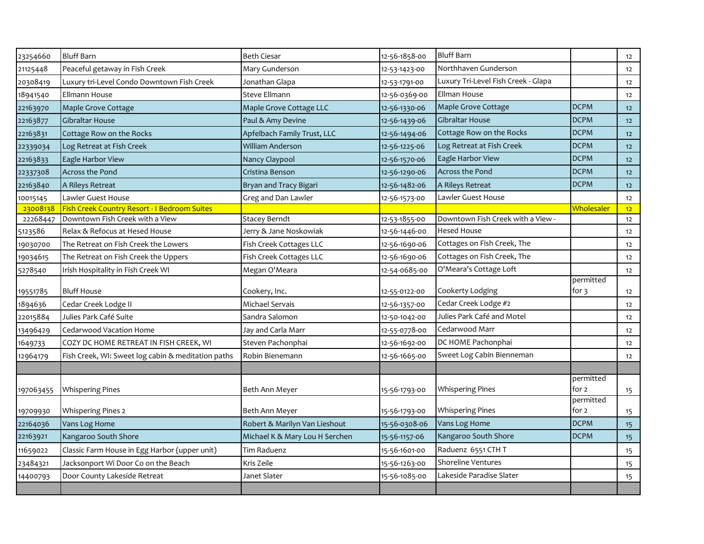| <b>Bluff Barn</b><br><b>Bluff Barn</b><br><b>Beth Ciesar</b><br>12-56-1858-00<br>23254660<br>Northhaven Gunderson<br>Peaceful getaway in Fish Creek<br>Mary Gunderson<br>21125448<br>12-53-1423-00<br>Luxury Tri-Level Fish Creek - Glapa<br>Luxury tri-Level Condo Downtown Fish Creek<br>20308419<br>Jonathan Glapa<br>12-53-1791-00<br>Ellman House<br>Ellmann House<br><b>Steve Ellmann</b><br>18941540<br>12-56-0369-00<br><b>DCPM</b><br>Maple Grove Cottage<br>Maple Grove Cottage<br>Maple Grove Cottage LLC<br>22163970<br>12-56-1330-06<br><b>Gibraltar House</b><br><b>DCPM</b><br>Gibraltar House<br>Paul & Amy Devine<br>22163877<br>12-56-1439-06<br><b>DCPM</b><br>Cottage Row on the Rocks<br>22163831<br>Cottage Row on the Rocks<br>Apfelbach Family Trust, LLC<br>12-56-1494-06<br>Log Retreat at Fish Creek<br><b>DCPM</b><br><b>William Anderson</b><br>Log Retreat at Fish Creek<br>12-56-1225-06<br>22339034<br>Eagle Harbor View<br><b>DCPM</b><br>22163833<br>Eagle Harbor View<br>Nancy Claypool<br>12-56-1570-06<br><b>Across the Pond</b><br><b>DCPM</b><br>Across the Pond<br>Cristina Benson<br>22337308<br>12-56-1290-06<br><b>DCPM</b><br>22163840<br>A Rileys Retreat<br>Bryan and Tracy Bigari<br>12-56-1482-06<br>A Rileys Retreat<br>Lawler Guest House<br>Lawler Guest House<br>Greg and Dan Lawler<br>10015145<br>12-56-1573-00<br>Fish Creek Country Resort - I Bedroom Suites<br>23008138<br><u>Wholesaler</u><br>Downtown Fish Creek with a View<br>Downtown Fish Creek with a View -<br>22268447<br><b>Stacey Berndt</b><br>12-53-1855-00<br><b>Hesed House</b><br>Relax & Refocus at Hesed House<br>Jerry & Jane Noskowiak<br>5123586<br>12-56-1446-00<br>Cottages on Fish Creek, The<br>Fish Creek Cottages LLC<br>The Retreat on Fish Creek the Lowers<br>12-56-1690-06<br>19030700<br>Cottages on Fish Creek, The<br>Fish Creek Cottages LLC<br>12-56-1690-06<br>The Retreat on Fish Creek the Uppers<br>19034615<br>O'Meara's Cottage Loft<br>Irish Hospitality in Fish Creek WI<br>Megan O'Meara<br>12-54-0685-00<br>5278540<br>permitted<br>Cookerty Lodging<br>for $3$<br><b>Bluff House</b><br>Cookery, Inc.<br>19551785<br>12-55-0122-00<br>Cedar Creek Lodge #2<br>Michael Servais<br>1894636<br>Cedar Creek Lodge II<br>12-56-1357-00<br>Julies Park Café and Motel<br>Julies Park Café Suite<br>Sandra Salomon<br>22015884<br>12-50-1042-00<br>Cedarwood Marr<br>Cedarwood Vacation Home<br>Jay and Carla Marr<br>12-55-0778-00<br>13496429<br>DC HOME Pachonphai<br>COZY DC HOME RETREAT IN FISH CREEK, WI<br>Steven Pachonphai<br>1649733<br>12-56-1692-00<br>Sweet Log Cabin Bienneman<br>Robin Bienemann<br>Fish Creek, WI: Sweet log cabin & meditation paths<br>12-56-1665-00<br>12964179<br>permitted<br><b>Whispering Pines</b><br>for 2<br><b>Whispering Pines</b><br>Beth Ann Meyer<br>15-56-1793-00<br>197063455<br>permitted<br>for 2<br><b>Whispering Pines</b><br><b>Whispering Pines 2</b><br>Beth Ann Meyer<br>15-56-1793-00<br>19709930<br><b>DCPM</b><br>Vans Log Home<br>22164036<br>Vans Log Home<br>Robert & Marilyn Van Lieshout<br>15-56-0308-06<br>Kangaroo South Shore<br><b>DCPM</b><br>22163921<br>Kangaroo South Shore<br>Michael K & Mary Lou H Serchen<br>15-56-1157-06<br>Raduenz 6551 CTH T<br>Tim Raduenz<br>11659022<br>Classic Farm House in Egg Harbor (upper unit)<br>15-56-1601-00<br><b>Shoreline Ventures</b><br>Jacksonport Wi Door Co on the Beach<br>Kris Zeile<br>23484321<br>15-56-1263-00<br>Lakeside Paradise Slater<br>Door County Lakeside Retreat<br>Janet Slater<br>15-56-1085-00<br>14400793 |  |  |  |                  |
|---------------------------------------------------------------------------------------------------------------------------------------------------------------------------------------------------------------------------------------------------------------------------------------------------------------------------------------------------------------------------------------------------------------------------------------------------------------------------------------------------------------------------------------------------------------------------------------------------------------------------------------------------------------------------------------------------------------------------------------------------------------------------------------------------------------------------------------------------------------------------------------------------------------------------------------------------------------------------------------------------------------------------------------------------------------------------------------------------------------------------------------------------------------------------------------------------------------------------------------------------------------------------------------------------------------------------------------------------------------------------------------------------------------------------------------------------------------------------------------------------------------------------------------------------------------------------------------------------------------------------------------------------------------------------------------------------------------------------------------------------------------------------------------------------------------------------------------------------------------------------------------------------------------------------------------------------------------------------------------------------------------------------------------------------------------------------------------------------------------------------------------------------------------------------------------------------------------------------------------------------------------------------------------------------------------------------------------------------------------------------------------------------------------------------------------------------------------------------------------------------------------------------------------------------------------------------------------------------------------------------------------------------------------------------------------------------------------------------------------------------------------------------------------------------------------------------------------------------------------------------------------------------------------------------------------------------------------------------------------------------------------------------------------------------------------------------------------------------------------------------------------------------------------------------------------------------------------------------------------------------------------------------------------------------------------------------------------------------------------------------------------------------------------------------------------------------------------------------------------------------------------------------------------------------------------------------------------------------------|--|--|--|------------------|
|                                                                                                                                                                                                                                                                                                                                                                                                                                                                                                                                                                                                                                                                                                                                                                                                                                                                                                                                                                                                                                                                                                                                                                                                                                                                                                                                                                                                                                                                                                                                                                                                                                                                                                                                                                                                                                                                                                                                                                                                                                                                                                                                                                                                                                                                                                                                                                                                                                                                                                                                                                                                                                                                                                                                                                                                                                                                                                                                                                                                                                                                                                                                                                                                                                                                                                                                                                                                                                                                                                                                                                                                         |  |  |  | 12               |
|                                                                                                                                                                                                                                                                                                                                                                                                                                                                                                                                                                                                                                                                                                                                                                                                                                                                                                                                                                                                                                                                                                                                                                                                                                                                                                                                                                                                                                                                                                                                                                                                                                                                                                                                                                                                                                                                                                                                                                                                                                                                                                                                                                                                                                                                                                                                                                                                                                                                                                                                                                                                                                                                                                                                                                                                                                                                                                                                                                                                                                                                                                                                                                                                                                                                                                                                                                                                                                                                                                                                                                                                         |  |  |  | 12               |
|                                                                                                                                                                                                                                                                                                                                                                                                                                                                                                                                                                                                                                                                                                                                                                                                                                                                                                                                                                                                                                                                                                                                                                                                                                                                                                                                                                                                                                                                                                                                                                                                                                                                                                                                                                                                                                                                                                                                                                                                                                                                                                                                                                                                                                                                                                                                                                                                                                                                                                                                                                                                                                                                                                                                                                                                                                                                                                                                                                                                                                                                                                                                                                                                                                                                                                                                                                                                                                                                                                                                                                                                         |  |  |  | 12               |
|                                                                                                                                                                                                                                                                                                                                                                                                                                                                                                                                                                                                                                                                                                                                                                                                                                                                                                                                                                                                                                                                                                                                                                                                                                                                                                                                                                                                                                                                                                                                                                                                                                                                                                                                                                                                                                                                                                                                                                                                                                                                                                                                                                                                                                                                                                                                                                                                                                                                                                                                                                                                                                                                                                                                                                                                                                                                                                                                                                                                                                                                                                                                                                                                                                                                                                                                                                                                                                                                                                                                                                                                         |  |  |  | 12               |
|                                                                                                                                                                                                                                                                                                                                                                                                                                                                                                                                                                                                                                                                                                                                                                                                                                                                                                                                                                                                                                                                                                                                                                                                                                                                                                                                                                                                                                                                                                                                                                                                                                                                                                                                                                                                                                                                                                                                                                                                                                                                                                                                                                                                                                                                                                                                                                                                                                                                                                                                                                                                                                                                                                                                                                                                                                                                                                                                                                                                                                                                                                                                                                                                                                                                                                                                                                                                                                                                                                                                                                                                         |  |  |  | 12               |
|                                                                                                                                                                                                                                                                                                                                                                                                                                                                                                                                                                                                                                                                                                                                                                                                                                                                                                                                                                                                                                                                                                                                                                                                                                                                                                                                                                                                                                                                                                                                                                                                                                                                                                                                                                                                                                                                                                                                                                                                                                                                                                                                                                                                                                                                                                                                                                                                                                                                                                                                                                                                                                                                                                                                                                                                                                                                                                                                                                                                                                                                                                                                                                                                                                                                                                                                                                                                                                                                                                                                                                                                         |  |  |  | 12               |
|                                                                                                                                                                                                                                                                                                                                                                                                                                                                                                                                                                                                                                                                                                                                                                                                                                                                                                                                                                                                                                                                                                                                                                                                                                                                                                                                                                                                                                                                                                                                                                                                                                                                                                                                                                                                                                                                                                                                                                                                                                                                                                                                                                                                                                                                                                                                                                                                                                                                                                                                                                                                                                                                                                                                                                                                                                                                                                                                                                                                                                                                                                                                                                                                                                                                                                                                                                                                                                                                                                                                                                                                         |  |  |  | 12               |
|                                                                                                                                                                                                                                                                                                                                                                                                                                                                                                                                                                                                                                                                                                                                                                                                                                                                                                                                                                                                                                                                                                                                                                                                                                                                                                                                                                                                                                                                                                                                                                                                                                                                                                                                                                                                                                                                                                                                                                                                                                                                                                                                                                                                                                                                                                                                                                                                                                                                                                                                                                                                                                                                                                                                                                                                                                                                                                                                                                                                                                                                                                                                                                                                                                                                                                                                                                                                                                                                                                                                                                                                         |  |  |  | 12               |
|                                                                                                                                                                                                                                                                                                                                                                                                                                                                                                                                                                                                                                                                                                                                                                                                                                                                                                                                                                                                                                                                                                                                                                                                                                                                                                                                                                                                                                                                                                                                                                                                                                                                                                                                                                                                                                                                                                                                                                                                                                                                                                                                                                                                                                                                                                                                                                                                                                                                                                                                                                                                                                                                                                                                                                                                                                                                                                                                                                                                                                                                                                                                                                                                                                                                                                                                                                                                                                                                                                                                                                                                         |  |  |  | 12               |
|                                                                                                                                                                                                                                                                                                                                                                                                                                                                                                                                                                                                                                                                                                                                                                                                                                                                                                                                                                                                                                                                                                                                                                                                                                                                                                                                                                                                                                                                                                                                                                                                                                                                                                                                                                                                                                                                                                                                                                                                                                                                                                                                                                                                                                                                                                                                                                                                                                                                                                                                                                                                                                                                                                                                                                                                                                                                                                                                                                                                                                                                                                                                                                                                                                                                                                                                                                                                                                                                                                                                                                                                         |  |  |  | 12               |
|                                                                                                                                                                                                                                                                                                                                                                                                                                                                                                                                                                                                                                                                                                                                                                                                                                                                                                                                                                                                                                                                                                                                                                                                                                                                                                                                                                                                                                                                                                                                                                                                                                                                                                                                                                                                                                                                                                                                                                                                                                                                                                                                                                                                                                                                                                                                                                                                                                                                                                                                                                                                                                                                                                                                                                                                                                                                                                                                                                                                                                                                                                                                                                                                                                                                                                                                                                                                                                                                                                                                                                                                         |  |  |  | 12               |
|                                                                                                                                                                                                                                                                                                                                                                                                                                                                                                                                                                                                                                                                                                                                                                                                                                                                                                                                                                                                                                                                                                                                                                                                                                                                                                                                                                                                                                                                                                                                                                                                                                                                                                                                                                                                                                                                                                                                                                                                                                                                                                                                                                                                                                                                                                                                                                                                                                                                                                                                                                                                                                                                                                                                                                                                                                                                                                                                                                                                                                                                                                                                                                                                                                                                                                                                                                                                                                                                                                                                                                                                         |  |  |  | 12               |
|                                                                                                                                                                                                                                                                                                                                                                                                                                                                                                                                                                                                                                                                                                                                                                                                                                                                                                                                                                                                                                                                                                                                                                                                                                                                                                                                                                                                                                                                                                                                                                                                                                                                                                                                                                                                                                                                                                                                                                                                                                                                                                                                                                                                                                                                                                                                                                                                                                                                                                                                                                                                                                                                                                                                                                                                                                                                                                                                                                                                                                                                                                                                                                                                                                                                                                                                                                                                                                                                                                                                                                                                         |  |  |  | 12 <sup>2</sup>  |
|                                                                                                                                                                                                                                                                                                                                                                                                                                                                                                                                                                                                                                                                                                                                                                                                                                                                                                                                                                                                                                                                                                                                                                                                                                                                                                                                                                                                                                                                                                                                                                                                                                                                                                                                                                                                                                                                                                                                                                                                                                                                                                                                                                                                                                                                                                                                                                                                                                                                                                                                                                                                                                                                                                                                                                                                                                                                                                                                                                                                                                                                                                                                                                                                                                                                                                                                                                                                                                                                                                                                                                                                         |  |  |  | 12               |
|                                                                                                                                                                                                                                                                                                                                                                                                                                                                                                                                                                                                                                                                                                                                                                                                                                                                                                                                                                                                                                                                                                                                                                                                                                                                                                                                                                                                                                                                                                                                                                                                                                                                                                                                                                                                                                                                                                                                                                                                                                                                                                                                                                                                                                                                                                                                                                                                                                                                                                                                                                                                                                                                                                                                                                                                                                                                                                                                                                                                                                                                                                                                                                                                                                                                                                                                                                                                                                                                                                                                                                                                         |  |  |  | 12               |
|                                                                                                                                                                                                                                                                                                                                                                                                                                                                                                                                                                                                                                                                                                                                                                                                                                                                                                                                                                                                                                                                                                                                                                                                                                                                                                                                                                                                                                                                                                                                                                                                                                                                                                                                                                                                                                                                                                                                                                                                                                                                                                                                                                                                                                                                                                                                                                                                                                                                                                                                                                                                                                                                                                                                                                                                                                                                                                                                                                                                                                                                                                                                                                                                                                                                                                                                                                                                                                                                                                                                                                                                         |  |  |  | 12               |
|                                                                                                                                                                                                                                                                                                                                                                                                                                                                                                                                                                                                                                                                                                                                                                                                                                                                                                                                                                                                                                                                                                                                                                                                                                                                                                                                                                                                                                                                                                                                                                                                                                                                                                                                                                                                                                                                                                                                                                                                                                                                                                                                                                                                                                                                                                                                                                                                                                                                                                                                                                                                                                                                                                                                                                                                                                                                                                                                                                                                                                                                                                                                                                                                                                                                                                                                                                                                                                                                                                                                                                                                         |  |  |  | 12               |
|                                                                                                                                                                                                                                                                                                                                                                                                                                                                                                                                                                                                                                                                                                                                                                                                                                                                                                                                                                                                                                                                                                                                                                                                                                                                                                                                                                                                                                                                                                                                                                                                                                                                                                                                                                                                                                                                                                                                                                                                                                                                                                                                                                                                                                                                                                                                                                                                                                                                                                                                                                                                                                                                                                                                                                                                                                                                                                                                                                                                                                                                                                                                                                                                                                                                                                                                                                                                                                                                                                                                                                                                         |  |  |  | 12               |
|                                                                                                                                                                                                                                                                                                                                                                                                                                                                                                                                                                                                                                                                                                                                                                                                                                                                                                                                                                                                                                                                                                                                                                                                                                                                                                                                                                                                                                                                                                                                                                                                                                                                                                                                                                                                                                                                                                                                                                                                                                                                                                                                                                                                                                                                                                                                                                                                                                                                                                                                                                                                                                                                                                                                                                                                                                                                                                                                                                                                                                                                                                                                                                                                                                                                                                                                                                                                                                                                                                                                                                                                         |  |  |  | 12               |
|                                                                                                                                                                                                                                                                                                                                                                                                                                                                                                                                                                                                                                                                                                                                                                                                                                                                                                                                                                                                                                                                                                                                                                                                                                                                                                                                                                                                                                                                                                                                                                                                                                                                                                                                                                                                                                                                                                                                                                                                                                                                                                                                                                                                                                                                                                                                                                                                                                                                                                                                                                                                                                                                                                                                                                                                                                                                                                                                                                                                                                                                                                                                                                                                                                                                                                                                                                                                                                                                                                                                                                                                         |  |  |  | 12               |
|                                                                                                                                                                                                                                                                                                                                                                                                                                                                                                                                                                                                                                                                                                                                                                                                                                                                                                                                                                                                                                                                                                                                                                                                                                                                                                                                                                                                                                                                                                                                                                                                                                                                                                                                                                                                                                                                                                                                                                                                                                                                                                                                                                                                                                                                                                                                                                                                                                                                                                                                                                                                                                                                                                                                                                                                                                                                                                                                                                                                                                                                                                                                                                                                                                                                                                                                                                                                                                                                                                                                                                                                         |  |  |  | 12               |
|                                                                                                                                                                                                                                                                                                                                                                                                                                                                                                                                                                                                                                                                                                                                                                                                                                                                                                                                                                                                                                                                                                                                                                                                                                                                                                                                                                                                                                                                                                                                                                                                                                                                                                                                                                                                                                                                                                                                                                                                                                                                                                                                                                                                                                                                                                                                                                                                                                                                                                                                                                                                                                                                                                                                                                                                                                                                                                                                                                                                                                                                                                                                                                                                                                                                                                                                                                                                                                                                                                                                                                                                         |  |  |  | 12               |
|                                                                                                                                                                                                                                                                                                                                                                                                                                                                                                                                                                                                                                                                                                                                                                                                                                                                                                                                                                                                                                                                                                                                                                                                                                                                                                                                                                                                                                                                                                                                                                                                                                                                                                                                                                                                                                                                                                                                                                                                                                                                                                                                                                                                                                                                                                                                                                                                                                                                                                                                                                                                                                                                                                                                                                                                                                                                                                                                                                                                                                                                                                                                                                                                                                                                                                                                                                                                                                                                                                                                                                                                         |  |  |  | 12               |
|                                                                                                                                                                                                                                                                                                                                                                                                                                                                                                                                                                                                                                                                                                                                                                                                                                                                                                                                                                                                                                                                                                                                                                                                                                                                                                                                                                                                                                                                                                                                                                                                                                                                                                                                                                                                                                                                                                                                                                                                                                                                                                                                                                                                                                                                                                                                                                                                                                                                                                                                                                                                                                                                                                                                                                                                                                                                                                                                                                                                                                                                                                                                                                                                                                                                                                                                                                                                                                                                                                                                                                                                         |  |  |  | 12               |
|                                                                                                                                                                                                                                                                                                                                                                                                                                                                                                                                                                                                                                                                                                                                                                                                                                                                                                                                                                                                                                                                                                                                                                                                                                                                                                                                                                                                                                                                                                                                                                                                                                                                                                                                                                                                                                                                                                                                                                                                                                                                                                                                                                                                                                                                                                                                                                                                                                                                                                                                                                                                                                                                                                                                                                                                                                                                                                                                                                                                                                                                                                                                                                                                                                                                                                                                                                                                                                                                                                                                                                                                         |  |  |  |                  |
|                                                                                                                                                                                                                                                                                                                                                                                                                                                                                                                                                                                                                                                                                                                                                                                                                                                                                                                                                                                                                                                                                                                                                                                                                                                                                                                                                                                                                                                                                                                                                                                                                                                                                                                                                                                                                                                                                                                                                                                                                                                                                                                                                                                                                                                                                                                                                                                                                                                                                                                                                                                                                                                                                                                                                                                                                                                                                                                                                                                                                                                                                                                                                                                                                                                                                                                                                                                                                                                                                                                                                                                                         |  |  |  |                  |
|                                                                                                                                                                                                                                                                                                                                                                                                                                                                                                                                                                                                                                                                                                                                                                                                                                                                                                                                                                                                                                                                                                                                                                                                                                                                                                                                                                                                                                                                                                                                                                                                                                                                                                                                                                                                                                                                                                                                                                                                                                                                                                                                                                                                                                                                                                                                                                                                                                                                                                                                                                                                                                                                                                                                                                                                                                                                                                                                                                                                                                                                                                                                                                                                                                                                                                                                                                                                                                                                                                                                                                                                         |  |  |  | 15               |
|                                                                                                                                                                                                                                                                                                                                                                                                                                                                                                                                                                                                                                                                                                                                                                                                                                                                                                                                                                                                                                                                                                                                                                                                                                                                                                                                                                                                                                                                                                                                                                                                                                                                                                                                                                                                                                                                                                                                                                                                                                                                                                                                                                                                                                                                                                                                                                                                                                                                                                                                                                                                                                                                                                                                                                                                                                                                                                                                                                                                                                                                                                                                                                                                                                                                                                                                                                                                                                                                                                                                                                                                         |  |  |  |                  |
|                                                                                                                                                                                                                                                                                                                                                                                                                                                                                                                                                                                                                                                                                                                                                                                                                                                                                                                                                                                                                                                                                                                                                                                                                                                                                                                                                                                                                                                                                                                                                                                                                                                                                                                                                                                                                                                                                                                                                                                                                                                                                                                                                                                                                                                                                                                                                                                                                                                                                                                                                                                                                                                                                                                                                                                                                                                                                                                                                                                                                                                                                                                                                                                                                                                                                                                                                                                                                                                                                                                                                                                                         |  |  |  | 15 <sub>15</sub> |
|                                                                                                                                                                                                                                                                                                                                                                                                                                                                                                                                                                                                                                                                                                                                                                                                                                                                                                                                                                                                                                                                                                                                                                                                                                                                                                                                                                                                                                                                                                                                                                                                                                                                                                                                                                                                                                                                                                                                                                                                                                                                                                                                                                                                                                                                                                                                                                                                                                                                                                                                                                                                                                                                                                                                                                                                                                                                                                                                                                                                                                                                                                                                                                                                                                                                                                                                                                                                                                                                                                                                                                                                         |  |  |  | 15               |
|                                                                                                                                                                                                                                                                                                                                                                                                                                                                                                                                                                                                                                                                                                                                                                                                                                                                                                                                                                                                                                                                                                                                                                                                                                                                                                                                                                                                                                                                                                                                                                                                                                                                                                                                                                                                                                                                                                                                                                                                                                                                                                                                                                                                                                                                                                                                                                                                                                                                                                                                                                                                                                                                                                                                                                                                                                                                                                                                                                                                                                                                                                                                                                                                                                                                                                                                                                                                                                                                                                                                                                                                         |  |  |  | 15               |
|                                                                                                                                                                                                                                                                                                                                                                                                                                                                                                                                                                                                                                                                                                                                                                                                                                                                                                                                                                                                                                                                                                                                                                                                                                                                                                                                                                                                                                                                                                                                                                                                                                                                                                                                                                                                                                                                                                                                                                                                                                                                                                                                                                                                                                                                                                                                                                                                                                                                                                                                                                                                                                                                                                                                                                                                                                                                                                                                                                                                                                                                                                                                                                                                                                                                                                                                                                                                                                                                                                                                                                                                         |  |  |  | 15               |
|                                                                                                                                                                                                                                                                                                                                                                                                                                                                                                                                                                                                                                                                                                                                                                                                                                                                                                                                                                                                                                                                                                                                                                                                                                                                                                                                                                                                                                                                                                                                                                                                                                                                                                                                                                                                                                                                                                                                                                                                                                                                                                                                                                                                                                                                                                                                                                                                                                                                                                                                                                                                                                                                                                                                                                                                                                                                                                                                                                                                                                                                                                                                                                                                                                                                                                                                                                                                                                                                                                                                                                                                         |  |  |  | 15               |
|                                                                                                                                                                                                                                                                                                                                                                                                                                                                                                                                                                                                                                                                                                                                                                                                                                                                                                                                                                                                                                                                                                                                                                                                                                                                                                                                                                                                                                                                                                                                                                                                                                                                                                                                                                                                                                                                                                                                                                                                                                                                                                                                                                                                                                                                                                                                                                                                                                                                                                                                                                                                                                                                                                                                                                                                                                                                                                                                                                                                                                                                                                                                                                                                                                                                                                                                                                                                                                                                                                                                                                                                         |  |  |  | 15               |
|                                                                                                                                                                                                                                                                                                                                                                                                                                                                                                                                                                                                                                                                                                                                                                                                                                                                                                                                                                                                                                                                                                                                                                                                                                                                                                                                                                                                                                                                                                                                                                                                                                                                                                                                                                                                                                                                                                                                                                                                                                                                                                                                                                                                                                                                                                                                                                                                                                                                                                                                                                                                                                                                                                                                                                                                                                                                                                                                                                                                                                                                                                                                                                                                                                                                                                                                                                                                                                                                                                                                                                                                         |  |  |  |                  |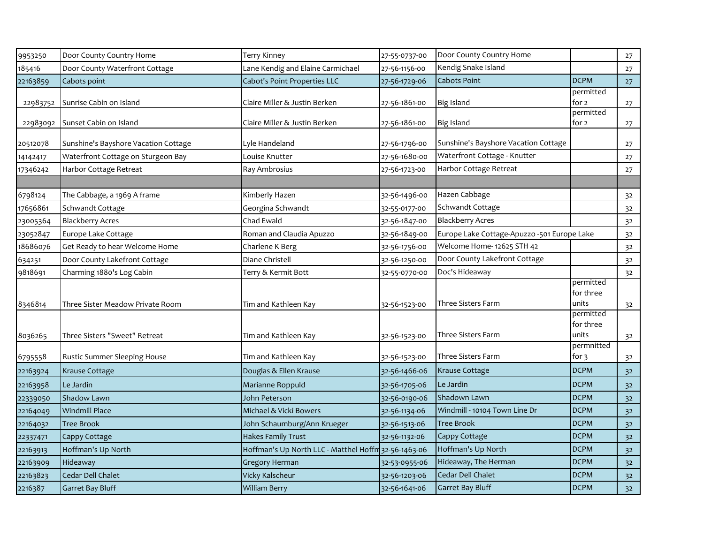| 9953250  | Door County Country Home             | <b>Terry Kinney</b>                                  | 27-55-0737-00 | Door County Country Home                    |                                 | 27             |
|----------|--------------------------------------|------------------------------------------------------|---------------|---------------------------------------------|---------------------------------|----------------|
| 185416   | Door County Waterfront Cottage       | Lane Kendig and Elaine Carmichael                    | 27-56-1156-00 | Kendig Snake Island                         |                                 | 27             |
| 22163859 | Cabots point                         | Cabot's Point Properties LLC                         | 27-56-1729-06 | Cabots Point                                | <b>DCPM</b>                     | 27             |
| 22983752 | Sunrise Cabin on Island              | Claire Miller & Justin Berken                        | 27-56-1861-00 | <b>Big Island</b>                           | permitted<br>for 2              | 27             |
| 22983092 | Sunset Cabin on Island               | Claire Miller & Justin Berken                        | 27-56-1861-00 | <b>Big Island</b>                           | permitted<br>for 2              | 27             |
| 20512078 | Sunshine's Bayshore Vacation Cottage | Lyle Handeland                                       | 27-56-1796-00 | Sunshine's Bayshore Vacation Cottage        |                                 | 27             |
| 14142417 | Waterfront Cottage on Sturgeon Bay   | Louise Knutter                                       | 27-56-1680-00 | Waterfront Cottage - Knutter                |                                 | 27             |
| 17346242 | Harbor Cottage Retreat               | Ray Ambrosius                                        | 27-56-1723-00 | Harbor Cottage Retreat                      |                                 | 27             |
|          |                                      |                                                      |               |                                             |                                 |                |
| 6798124  | The Cabbage, a 1969 A frame          | Kimberly Hazen                                       | 32-56-1496-00 | Hazen Cabbage                               |                                 | 32             |
| 17656861 | Schwandt Cottage                     | Georgina Schwandt                                    | 32-55-0177-00 | Schwandt Cottage                            |                                 | 32             |
| 23005364 | <b>Blackberry Acres</b>              | Chad Ewald                                           | 32-56-1847-00 | <b>Blackberry Acres</b>                     |                                 | 32             |
| 23052847 | Europe Lake Cottage                  | Roman and Claudia Apuzzo                             | 32-56-1849-00 | Europe Lake Cottage-Apuzzo -501 Europe Lake |                                 | 32             |
| 18686076 | Get Ready to hear Welcome Home       | Charlene K Berg                                      | 32-56-1756-00 | Welcome Home-12625 STH 42                   |                                 | 32             |
| 634251   | Door County Lakefront Cottage        | Diane Christell                                      | 32-56-1250-00 | Door County Lakefront Cottage               |                                 | 32             |
| 9818691  | Charming 1880's Log Cabin            | Terry & Kermit Bott                                  | 32-55-0770-00 | Doc's Hideaway                              |                                 | 32             |
| 8346814  | Three Sister Meadow Private Room     | Tim and Kathleen Kay                                 | 32-56-1523-00 | <b>Three Sisters Farm</b>                   | permitted<br>for three<br>units | 3 <sup>2</sup> |
| 8036265  | Three Sisters "Sweet" Retreat        | Tim and Kathleen Kay                                 | 32-56-1523-00 | Three Sisters Farm                          | permitted<br>for three<br>units | 32             |
| 6795558  | Rustic Summer Sleeping House         | Tim and Kathleen Kay                                 | 32-56-1523-00 | <b>Three Sisters Farm</b>                   | permnitted<br>for 3             | 32             |
| 22163924 | Krause Cottage                       | Douglas & Ellen Krause                               | 32-56-1466-06 | Krause Cottage                              | <b>DCPM</b>                     | 32             |
| 22163958 | Le Jardin                            | Marianne Roppuld                                     | 32-56-1705-06 | Le Jardin                                   | <b>DCPM</b>                     | 32             |
| 22339050 | Shadow Lawn                          | John Peterson                                        | 32-56-0190-06 | Shadown Lawn                                | <b>DCPM</b>                     | 32             |
| 22164049 | <b>Windmill Place</b>                | Michael & Vicki Bowers                               | 32-56-1134-06 | Windmill - 10104 Town Line Dr               | <b>DCPM</b>                     | 32             |
| 22164032 | Tree Brook                           | John Schaumburg/Ann Krueger                          | 32-56-1513-06 | <b>Tree Brook</b>                           | <b>DCPM</b>                     | 32             |
| 22337471 | Cappy Cottage                        | Hakes Family Trust                                   | 32-56-1132-06 | Cappy Cottage                               | <b>DCPM</b>                     | 32             |
| 22163913 | Hoffman's Up North                   | Hoffman's Up North LLC - Matthel Hoffm 32-56-1463-06 |               | Hoffman's Up North                          | <b>DCPM</b>                     | 32             |
| 22163909 | Hideaway                             | <b>Gregory Herman</b>                                | 32-53-0955-06 | Hideaway, The Herman                        | <b>DCPM</b>                     | 32             |
| 22163823 | Cedar Dell Chalet                    | Vicky Kalscheur                                      | 32-56-1203-06 | Cedar Dell Chalet                           | <b>DCPM</b>                     | 32             |
| 2216387  | Garret Bay Bluff                     | <b>William Berry</b>                                 | 32-56-1641-06 | <b>Garret Bay Bluff</b>                     | <b>DCPM</b>                     | 32             |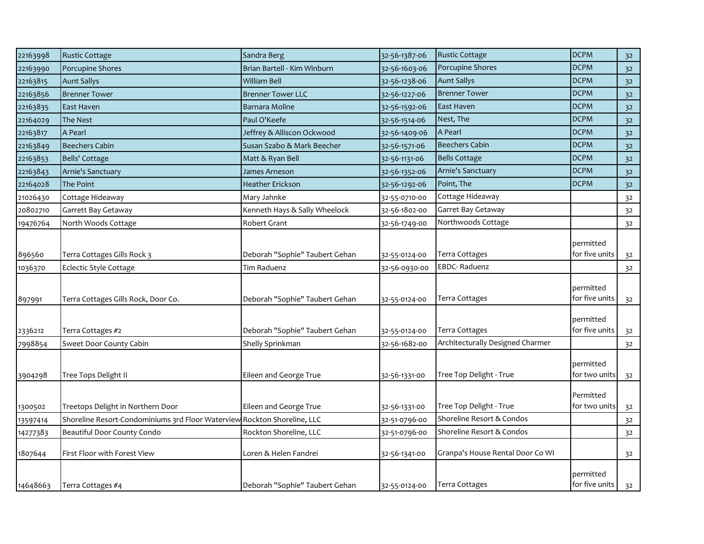| 22163998 | <b>Rustic Cottage</b>                                                    | Sandra Berg                                        | 32-56-1387-06 | <b>Rustic Cottage</b>                              | <b>DCPM</b>                 | 32             |
|----------|--------------------------------------------------------------------------|----------------------------------------------------|---------------|----------------------------------------------------|-----------------------------|----------------|
| 22163990 | Porcupine Shores                                                         | Brian Bartell - Kim Winburn                        | 32-56-1603-06 | Porcupine Shores                                   | <b>DCPM</b>                 | 32             |
| 22163815 | <b>Aunt Sallys</b>                                                       | <b>William Bell</b>                                | 32-56-1238-06 | <b>Aunt Sallys</b>                                 | <b>DCPM</b>                 | 32             |
| 22163856 | <b>Brenner Tower</b>                                                     | <b>Brenner Tower LLC</b>                           | 32-56-1227-06 | <b>Brenner Tower</b>                               | <b>DCPM</b>                 | 32             |
| 22163835 | East Haven                                                               | Barnara Moline                                     | 32-56-1592-06 | East Haven                                         | <b>DCPM</b>                 | 32             |
| 22164029 | The Nest                                                                 | Paul O'Keefe                                       | 32-56-1514-06 | Nest, The                                          | <b>DCPM</b>                 | 32             |
| 22163817 | A Pearl                                                                  | Jeffrey & Alliscon Ockwood                         | 32-56-1409-06 | A Pearl                                            | <b>DCPM</b>                 | 32             |
| 22163849 | <b>Beechers Cabin</b>                                                    | Susan Szabo & Mark Beecher                         | 32-56-1571-06 | <b>Beechers Cabin</b>                              | <b>DCPM</b>                 | 32             |
| 22163853 | Bells' Cottage                                                           | Matt & Ryan Bell                                   | 32-56-1131-06 | <b>Bells Cottage</b>                               | <b>DCPM</b>                 | 32             |
| 22163843 | Arnie's Sanctuary                                                        | James Arneson                                      | 32-56-1352-06 | Arnie's Sanctuary                                  | <b>DCPM</b>                 | 32             |
| 22164028 | The Point                                                                | Heather Erickson                                   | 32-56-1292-06 | Point, The                                         | <b>DCPM</b>                 | 32             |
| 21026430 | Cottage Hideaway                                                         | Mary Jahnke                                        | 32-55-0710-00 | Cottage Hideaway                                   |                             | 32             |
| 20802710 | Garrett Bay Getaway                                                      | Kenneth Hays & Sally Wheelock                      | 32-56-1802-00 | Garret Bay Getaway                                 |                             | 32             |
| 19476764 | North Woods Cottage                                                      | Robert Grant                                       | 32-56-1749-00 | Northwoods Cottage                                 |                             | 32             |
| 896560   | Terra Cottages Gills Rock 3                                              | Deborah "Sophie" Taubert Gehan                     | 32-55-0124-00 | Terra Cottages                                     | permitted<br>for five units | 32             |
| 1036370  | <b>Eclectic Style Cottage</b>                                            | Tim Raduenz                                        | 32-56-0930-00 | <b>EBDC-Raduenz</b>                                |                             | 32             |
| 897991   | Terra Cottages Gills Rock, Door Co.                                      | Deborah "Sophie" Taubert Gehan                     | 32-55-0124-00 | Terra Cottages                                     | permitted<br>for five units | 32             |
| 2336212  | Terra Cottages #2<br>Sweet Door County Cabin                             | Deborah "Sophie" Taubert Gehan<br>Shelly Sprinkman | 32-55-0124-00 | Terra Cottages<br>Architecturally Designed Charmer | permitted<br>for five units | 32             |
| 7998854  |                                                                          |                                                    | 32-56-1682-00 |                                                    |                             | 32             |
| 3904298  | Tree Tops Delight II                                                     | Eileen and George True                             | 32-56-1331-00 | Tree Top Delight - True                            | permitted<br>for two units  | 32             |
| 1300502  | Treetops Delight in Northern Door                                        | Eileen and George True                             | 32-56-1331-00 | Tree Top Delight - True                            | Permitted<br>for two units  | 32             |
| 13597414 | Shoreline Resort-Condominiums 3rd Floor Waterview Rockton Shoreline, LLC |                                                    | 32-51-0796-00 | Shoreline Resort & Condos                          |                             | 3 <sup>2</sup> |
| 14277383 | Beautiful Door County Condo                                              | Rockton Shoreline, LLC                             | 32-51-0796-00 | Shoreline Resort & Condos                          |                             | 3 <sup>2</sup> |
| 1807644  | First Floor with Forest View                                             | Loren & Helen Fandrei                              | 32-56-1341-00 | Granpa's House Rental Door Co WI                   |                             | 32             |
| 14648663 | Terra Cottages #4                                                        | Deborah "Sophie" Taubert Gehan                     | 32-55-0124-00 | <b>Terra Cottages</b>                              | permitted<br>for five units | 32             |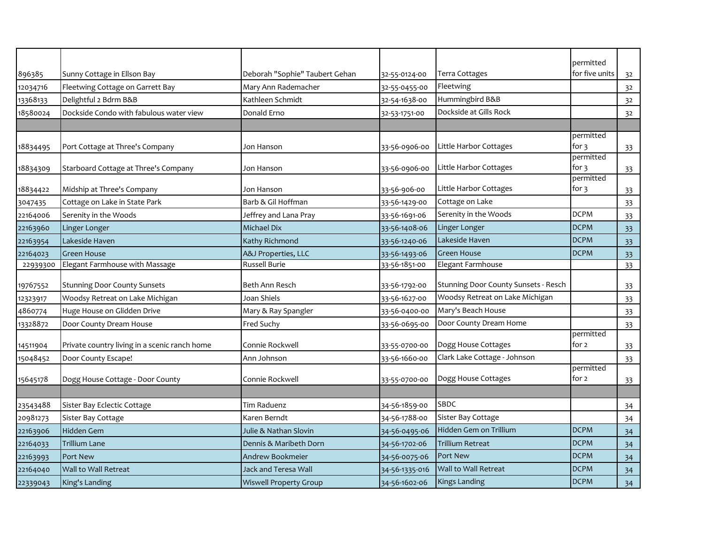|          |                                               |                                |                |                                      | permitted                       |    |
|----------|-----------------------------------------------|--------------------------------|----------------|--------------------------------------|---------------------------------|----|
| 896385   | Sunny Cottage in Ellson Bay                   | Deborah "Sophie" Taubert Gehan | 32-55-0124-00  | Terra Cottages                       | for five units                  | 32 |
| 12034716 | Fleetwing Cottage on Garrett Bay              | Mary Ann Rademacher            | 32-55-0455-00  | Fleetwing                            |                                 | 32 |
| 13368133 | Delightful 2 Bdrm B&B                         | Kathleen Schmidt               | 32-54-1638-00  | Hummingbird B&B                      |                                 | 32 |
| 18580024 | Dockside Condo with fabulous water view       | Donald Erno                    | 32-53-1751-00  | Dockside at Gills Rock               |                                 | 32 |
|          |                                               |                                |                |                                      |                                 |    |
|          | Port Cottage at Three's Company               | Jon Hanson                     | 33-56-0906-00  | Little Harbor Cottages               | permitted<br>for $\overline{3}$ |    |
| 18834495 |                                               |                                |                |                                      | permitted                       | 33 |
| 18834309 | Starboard Cottage at Three's Company          | Jon Hanson                     | 33-56-0906-00  | Little Harbor Cottages               | for $3$                         | 33 |
|          |                                               |                                |                |                                      | permitted                       |    |
| 18834422 | Midship at Three's Company                    | Jon Hanson                     | 33-56-906-00   | Little Harbor Cottages               | for 3                           | 33 |
| 3047435  | Cottage on Lake in State Park                 | Barb & Gil Hoffman             | 33-56-1429-00  | Cottage on Lake                      |                                 | 33 |
| 22164006 | Serenity in the Woods                         | Jeffrey and Lana Pray          | 33-56-1691-06  | Serenity in the Woods                | <b>DCPM</b>                     | 33 |
| 22163960 | Linger Longer                                 | <b>Michael Dix</b>             | 33-56-1408-06  | Linger Longer                        | <b>DCPM</b>                     | 33 |
| 22163954 | Lakeside Haven                                | Kathy Richmond                 | 33-56-1240-06  | Lakeside Haven                       | <b>DCPM</b>                     | 33 |
| 22164023 | <b>Green House</b>                            | A&J Properties, LLC            | 33-56-1493-06  | <b>Green House</b>                   | <b>DCPM</b>                     | 33 |
| 22939300 | Elegant Farmhouse with Massage                | Russell Burie                  | 33-56-1851-00  | Elegant Farmhouse                    |                                 | 33 |
| 19767552 | <b>Stunning Door County Sunsets</b>           | Beth Ann Resch                 | 33-56-1792-00  | Stunning Door County Sunsets - Resch |                                 | 33 |
| 12323917 | Woodsy Retreat on Lake Michigan               | Joan Shiels                    | 33-56-1627-00  | Woodsy Retreat on Lake Michigan      |                                 | 33 |
| 4860774  | Huge House on Glidden Drive                   | Mary & Ray Spangler            | 33-56-0400-00  | Mary's Beach House                   |                                 | 33 |
| 13328872 | Door County Dream House                       | Fred Suchy                     | 33-56-0695-00  | Door County Dream Home               |                                 | 33 |
| 14511904 | Private country living in a scenic ranch home | Connie Rockwell                | 33-55-0700-00  | Dogg House Cottages                  | permitted<br>for 2              | 33 |
|          | Door County Escape!                           | Ann Johnson                    |                | Clark Lake Cottage - Johnson         |                                 |    |
| 15048452 |                                               |                                | 33-56-1660-00  |                                      | permitted                       | 33 |
| 15645178 | Dogg House Cottage - Door County              | Connie Rockwell                | 33-55-0700-00  | Dogg House Cottages                  | for 2                           | 33 |
|          |                                               |                                |                |                                      |                                 |    |
| 23543488 | Sister Bay Eclectic Cottage                   | Tim Raduenz                    | 34-56-1859-00  | SBDC                                 |                                 | 34 |
| 20981273 | Sister Bay Cottage                            | Karen Berndt                   | 34-56-1788-00  | Sister Bay Cottage                   |                                 | 34 |
| 22163906 | <b>Hidden Gem</b>                             | Julie & Nathan Slovin          | 34-56-0495-06  | Hidden Gem on Trillium               | <b>DCPM</b>                     | 34 |
| 22164033 | <b>Trillium Lane</b>                          | Dennis & Maribeth Dorn         | 34-56-1702-06  | <b>Trillium Retreat</b>              | <b>DCPM</b>                     | 34 |
| 22163993 | <b>Port New</b>                               | Andrew Bookmeier               | 34-56-0075-06  | Port New                             | <b>DCPM</b>                     | 34 |
| 22164040 | Wall to Wall Retreat                          | <b>Jack and Teresa Wall</b>    | 34-56-1335-016 | Wall to Wall Retreat                 | <b>DCPM</b>                     | 34 |
| 22339043 | King's Landing                                | <b>Wiswell Property Group</b>  | 34-56-1602-06  | <b>Kings Landing</b>                 | <b>DCPM</b>                     | 34 |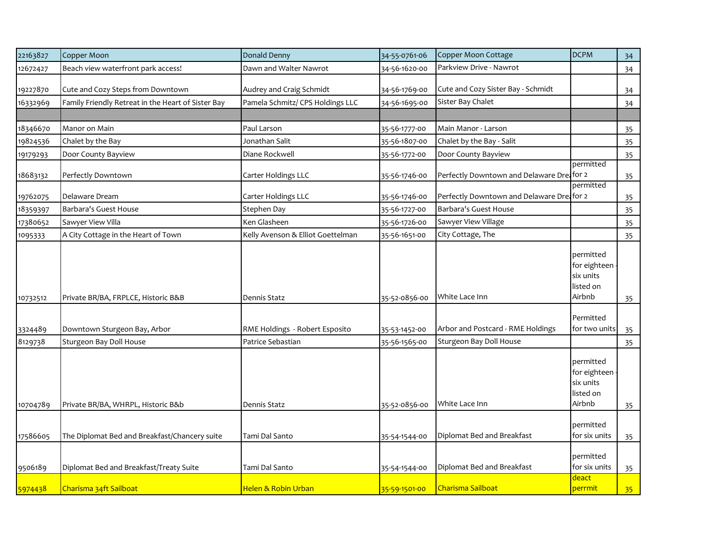| 22163827 | Copper Moon                                        | Donald Denny                      | 34-55-0761-06 | Copper Moon Cottage                        | <b>DCPM</b>                                                   | 34              |
|----------|----------------------------------------------------|-----------------------------------|---------------|--------------------------------------------|---------------------------------------------------------------|-----------------|
| 12672427 | Beach view waterfront park access!                 | Dawn and Walter Nawrot            | 34-56-1620-00 | Parkview Drive - Nawrot                    |                                                               | 34              |
| 19227870 | Cute and Cozy Steps from Downtown                  | Audrey and Craig Schmidt          | 34-56-1769-00 | Cute and Cozy Sister Bay - Schmidt         |                                                               | 34              |
| 16332969 | Family Friendly Retreat in the Heart of Sister Bay | Pamela Schmitz/ CPS Holdings LLC  | 34-56-1695-00 | Sister Bay Chalet                          |                                                               | 34              |
|          |                                                    |                                   |               |                                            |                                                               |                 |
| 18346670 | Manor on Main                                      | Paul Larson                       | 35-56-1777-00 | Main Manor - Larson                        |                                                               | 35              |
| 19824536 | Chalet by the Bay                                  | Jonathan Salit                    | 35-56-1807-00 | Chalet by the Bay - Salit                  |                                                               | 35              |
| 19179293 | Door County Bayview                                | Diane Rockwell                    | 35-56-1772-00 | Door County Bayview                        |                                                               | 35              |
| 18683132 | Perfectly Downtown                                 | Carter Holdings LLC               | 35-56-1746-00 | Perfectly Downtown and Delaware Drei for 2 | permitted                                                     | 35              |
| 19762075 | Delaware Dream                                     | Carter Holdings LLC               | 35-56-1746-00 | Perfectly Downtown and Delaware Dreafor 2  | permitted                                                     | 35              |
| 18359397 | Barbara's Guest House                              | Stephen Day                       | 35-56-1727-00 | Barbara's Guest House                      |                                                               | 35              |
| 17380652 | Sawyer View Villa                                  | Ken Glasheen                      | 35-56-1726-00 | Sawyer View Village                        |                                                               | 35              |
| 1095333  | A City Cottage in the Heart of Town                | Kelly Avenson & Elliot Goettelman | 35-56-1651-00 | City Cottage, The                          |                                                               | 35              |
| 10732512 | Private BR/BA, FRPLCE, Historic B&B                | Dennis Statz                      | 35-52-0856-00 | White Lace Inn                             | permitted<br>for eighteen<br>six units<br>listed on<br>Airbnb | 35              |
| 3324489  | Downtown Sturgeon Bay, Arbor                       | RME Holdings - Robert Esposito    | 35-53-1452-00 | Arbor and Postcard - RME Holdings          | Permitted<br>for two units                                    | 35              |
| 8129738  | Sturgeon Bay Doll House                            | Patrice Sebastian                 | 35-56-1565-00 | Sturgeon Bay Doll House                    |                                                               | 35              |
| 10704789 | Private BR/BA, WHRPL, Historic B&b                 | Dennis Statz                      | 35-52-0856-00 | White Lace Inn                             | permitted<br>for eighteen<br>six units<br>listed on<br>Airbnb | 35              |
| 17586605 | The Diplomat Bed and Breakfast/Chancery suite      | Tami Dal Santo                    | 35-54-1544-00 | Diplomat Bed and Breakfast                 | permitted<br>for six units                                    | 35              |
| 9506189  | Diplomat Bed and Breakfast/Treaty Suite            | Tami Dal Santo                    | 35-54-1544-00 | Diplomat Bed and Breakfast                 | permitted<br>for six units                                    | 35              |
| 5974438  | Charisma 34ft Sailboat                             | Helen & Robin Urban               | 35-59-1501-00 | Charisma Sailboat                          | deact<br>perrmit                                              | 35 <sub>1</sub> |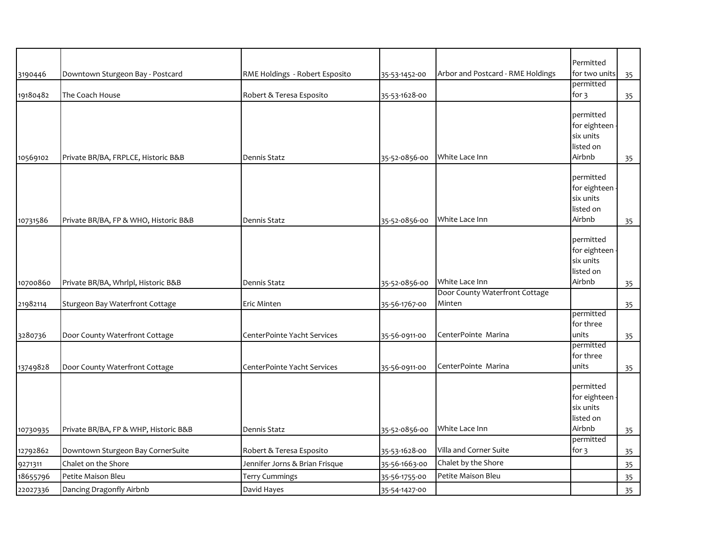|          |                                       |                                |               |                                   | Permitted                 |    |
|----------|---------------------------------------|--------------------------------|---------------|-----------------------------------|---------------------------|----|
| 3190446  | Downtown Sturgeon Bay - Postcard      | RME Holdings - Robert Esposito | 35-53-1452-00 | Arbor and Postcard - RME Holdings | for two units             | 35 |
|          |                                       |                                |               |                                   | permitted                 |    |
| 19180482 | The Coach House                       | Robert & Teresa Esposito       | 35-53-1628-00 |                                   | for 3                     | 35 |
|          |                                       |                                |               |                                   | permitted                 |    |
|          |                                       |                                |               |                                   | for eighteen              |    |
|          |                                       |                                |               |                                   | six units                 |    |
|          |                                       |                                |               |                                   | listed on                 |    |
| 10569102 | Private BR/BA, FRPLCE, Historic B&B   | Dennis Statz                   | 35-52-0856-00 | White Lace Inn                    | Airbnb                    | 35 |
|          |                                       |                                |               |                                   |                           |    |
|          |                                       |                                |               |                                   | permitted<br>for eighteen |    |
|          |                                       |                                |               |                                   | six units                 |    |
|          |                                       |                                |               |                                   | listed on                 |    |
| 10731586 | Private BR/BA, FP & WHO, Historic B&B | Dennis Statz                   | 35-52-0856-00 | White Lace Inn                    | Airbnb                    | 35 |
|          |                                       |                                |               |                                   |                           |    |
|          |                                       |                                |               |                                   | permitted                 |    |
|          |                                       |                                |               |                                   | for eighteen              |    |
|          |                                       |                                |               |                                   | six units<br>listed on    |    |
| 10700860 | Private BR/BA, Whrlpl, Historic B&B   | Dennis Statz                   | 35-52-0856-00 | White Lace Inn                    | Airbnb                    |    |
|          |                                       |                                |               | Door County Waterfront Cottage    |                           | 35 |
| 21982114 | Sturgeon Bay Waterfront Cottage       | Eric Minten                    | 35-56-1767-00 | Minten                            |                           | 35 |
|          |                                       |                                |               |                                   | permitted                 |    |
|          |                                       |                                |               |                                   | for three                 |    |
| 3280736  | Door County Waterfront Cottage        | CenterPointe Yacht Services    | 35-56-0911-00 | CenterPointe Marina               | units                     | 35 |
|          |                                       |                                |               |                                   | permitted<br>for three    |    |
|          | Door County Waterfront Cottage        | CenterPointe Yacht Services    |               | CenterPointe Marina               | units                     |    |
| 13749828 |                                       |                                | 35-56-0911-00 |                                   |                           | 35 |
|          |                                       |                                |               |                                   | permitted                 |    |
|          |                                       |                                |               |                                   | for eighteen              |    |
|          |                                       |                                |               |                                   | six units                 |    |
|          |                                       |                                |               |                                   | listed on                 |    |
| 10730935 | Private BR/BA, FP & WHP, Historic B&B | Dennis Statz                   | 35-52-0856-00 | White Lace Inn                    | Airbnb                    | 35 |
|          | Downtown Sturgeon Bay CornerSuite     | Robert & Teresa Esposito       | 35-53-1628-00 | Villa and Corner Suite            | permitted<br>for $3$      |    |
| 12792862 | Chalet on the Shore                   | Jennifer Jorns & Brian Frisque | 35-56-1663-00 | Chalet by the Shore               |                           | 35 |
| 9271311  | Petite Maison Bleu                    | <b>Terry Cummings</b>          |               | Petite Maison Bleu                |                           | 35 |
| 18655796 |                                       |                                | 35-56-1755-00 |                                   |                           | 35 |
| 22027336 | Dancing Dragonfly Airbnb              | David Hayes                    | 35-54-1427-00 |                                   |                           | 35 |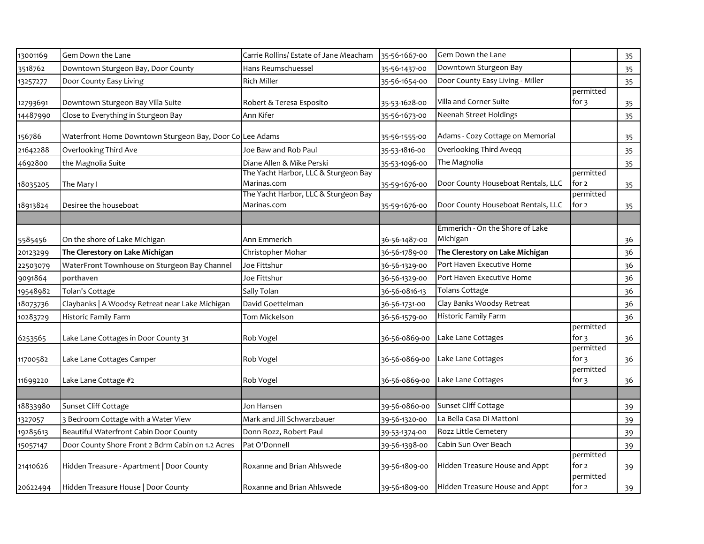| 13001169 | Gem Down the Lane                                        | Carrie Rollins/ Estate of Jane Meacham                                                      | 35-56-1667-00 | Gem Down the Lane                  |                                 | 35 |
|----------|----------------------------------------------------------|---------------------------------------------------------------------------------------------|---------------|------------------------------------|---------------------------------|----|
| 3518762  | Downtown Sturgeon Bay, Door County                       | Hans Reumschuessel                                                                          | 35-56-1437-00 | Downtown Sturgeon Bay              |                                 | 35 |
| 13257277 | Door County Easy Living                                  | <b>Rich Miller</b>                                                                          | 35-56-1654-00 | Door County Easy Living - Miller   |                                 | 35 |
| 12793691 | Downtown Sturgeon Bay Villa Suite                        | Robert & Teresa Esposito                                                                    | 35-53-1628-00 | Villa and Corner Suite             | permitted<br>for $3$            | 35 |
| 14487990 | Close to Everything in Sturgeon Bay                      | Ann Kifer                                                                                   | 35-56-1673-00 | Neenah Street Holdings             |                                 | 35 |
| 156786   | Waterfront Home Downtown Sturgeon Bay, Door Co Lee Adams |                                                                                             | 35-56-1555-00 | Adams - Cozy Cottage on Memorial   |                                 | 35 |
| 21642288 | Overlooking Third Ave                                    | Joe Baw and Rob Paul                                                                        | 35-53-1816-00 | Overlooking Third Aveqq            |                                 | 35 |
| 4692800  | the Magnolia Suite                                       | Diane Allen & Mike Perski                                                                   | 35-53-1096-00 | The Magnolia                       |                                 | 35 |
| 18035205 | The Mary I                                               | The Yacht Harbor, LLC & Sturgeon Bay<br>Marinas.com<br>The Yacht Harbor, LLC & Sturgeon Bay | 35-59-1676-00 | Door County Houseboat Rentals, LLC | permitted<br>for 2<br>permitted | 35 |
| 18913824 | Desiree the houseboat                                    | Marinas.com                                                                                 | 35-59-1676-00 | Door County Houseboat Rentals, LLC | for 2                           | 35 |
|          |                                                          |                                                                                             |               |                                    |                                 |    |
|          |                                                          |                                                                                             |               | Emmerich - On the Shore of Lake    |                                 |    |
| 5585456  | On the shore of Lake Michigan                            | Ann Emmerich                                                                                | 36-56-1487-00 | Michigan                           |                                 | 36 |
| 20123299 | The Clerestory on Lake Michigan                          | Christopher Mohar                                                                           | 36-56-1789-00 | The Clerestory on Lake Michigan    |                                 | 36 |
| 22503079 | WaterFront Townhouse on Sturgeon Bay Channel             | Joe Fittshur                                                                                | 36-56-1329-00 | Port Haven Executive Home          |                                 | 36 |
| 9091864  | porthaven                                                | Joe Fittshur                                                                                | 36-56-1329-00 | Port Haven Executive Home          |                                 | 36 |
| 19548982 | Tolan's Cottage                                          | Sally Tolan                                                                                 | 36-56-0816-13 | <b>Tolans Cottage</b>              |                                 | 36 |
| 18073736 | Claybanks   A Woodsy Retreat near Lake Michigan          | David Goettelman                                                                            | 36-56-1731-00 | Clay Banks Woodsy Retreat          |                                 | 36 |
| 10283729 | Historic Family Farm                                     | Tom Mickelson                                                                               | 36-56-1579-00 | Historic Family Farm               |                                 | 36 |
| 6253565  | Lake Lane Cottages in Door County 31                     | Rob Vogel                                                                                   | 36-56-0869-00 | Lake Lane Cottages                 | permitted<br>for $\overline{3}$ | 36 |
| 11700582 | Lake Lane Cottages Camper                                | Rob Vogel                                                                                   | 36-56-0869-00 | Lake Lane Cottages                 | permitted<br>for $\frac{1}{3}$  | 36 |
| 11699220 | Lake Lane Cottage #2                                     | Rob Vogel                                                                                   | 36-56-0869-00 | Lake Lane Cottages                 | permitted<br>for 3              | 36 |
|          |                                                          |                                                                                             |               |                                    |                                 |    |
| 18833980 | Sunset Cliff Cottage                                     | Jon Hansen                                                                                  | 39-56-0860-00 | Sunset Cliff Cottage               |                                 | 39 |
| 1327057  | 3 Bedroom Cottage with a Water View                      | Mark and Jill Schwarzbauer                                                                  | 39-56-1320-00 | La Bella Casa Di Mattoni           |                                 | 39 |
| 19285613 | Beautiful Waterfront Cabin Door County                   | Donn Rozz, Robert Paul                                                                      | 39-53-1374-00 | Rozz Little Cemetery               |                                 | 39 |
| 15057147 | Door County Shore Front 2 Bdrm Cabin on 1.2 Acres        | Pat O'Donnell                                                                               | 39-56-1398-00 | Cabin Sun Over Beach               |                                 | 39 |
| 21410626 | Hidden Treasure - Apartment   Door County                | Roxanne and Brian Ahlswede                                                                  | 39-56-1809-00 | Hidden Treasure House and Appt     | permitted<br>for 2              | 39 |
| 20622494 | Hidden Treasure House   Door County                      | Roxanne and Brian Ahlswede                                                                  | 39-56-1809-00 | Hidden Treasure House and Appt     | permitted<br>for $2$            | 39 |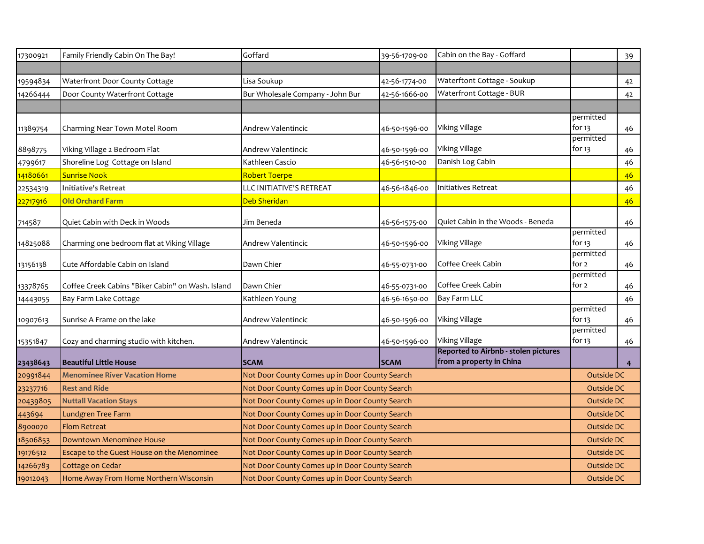| 17300921              | Family Friendly Cabin On The Bay!                 | Goffard                                                                                          | 39-56-1709-00                  | Cabin on the Bay - Goffard                                       |                     | 39             |
|-----------------------|---------------------------------------------------|--------------------------------------------------------------------------------------------------|--------------------------------|------------------------------------------------------------------|---------------------|----------------|
|                       |                                                   |                                                                                                  |                                |                                                                  |                     |                |
| 19594834              | Waterfront Door County Cottage                    | Lisa Soukup                                                                                      | 42-56-1774-00                  | Waterftont Cottage - Soukup                                      |                     | 42             |
| 14266444              | Door County Waterfront Cottage                    | Bur Wholesale Company - John Bur                                                                 | 42-56-1666-00                  | Waterfront Cottage - BUR                                         |                     | 42             |
|                       |                                                   |                                                                                                  |                                |                                                                  |                     |                |
|                       |                                                   |                                                                                                  |                                |                                                                  | permitted           |                |
| 11389754              | Charming Near Town Motel Room                     | Andrew Valentincic                                                                               | 46-50-1596-00                  | Viking Village                                                   | for 13<br>permitted | 46             |
| 8898775               | Viking Village 2 Bedroom Flat                     | Andrew Valentincic                                                                               | 46-50-1596-00                  | Viking Village                                                   | for 13              | 46             |
| 4799617               | Shoreline Log Cottage on Island                   | Kathleen Cascio                                                                                  | 46-56-1510-00                  | Danish Log Cabin                                                 |                     | 46             |
| <mark>14180661</mark> | <b>Sunrise Nook</b>                               | Robert Toerpe                                                                                    |                                |                                                                  |                     | 46             |
| 22534319              | <b>Initiative's Retreat</b>                       | LLC INITIATIVE'S RETREAT                                                                         | 46-56-1846-00                  | Initiatives Retreat                                              |                     | 46             |
| <mark>22717916</mark> | <b>Old Orchard Farm</b>                           | Deb Sheridan                                                                                     |                                |                                                                  |                     | 46             |
| 714587                | Quiet Cabin with Deck in Woods                    | Jim Beneda                                                                                       | 46-56-1575-00                  | Quiet Cabin in the Woods - Beneda                                |                     | 46             |
|                       |                                                   |                                                                                                  |                                |                                                                  | permitted           |                |
| 14825088              | Charming one bedroom flat at Viking Village       | Andrew Valentincic                                                                               | 46-50-1596-00                  | Viking Village                                                   | for 13              | 46             |
| 13156138              | Cute Affordable Cabin on Island                   | Dawn Chier                                                                                       | 46-55-0731-00                  | Coffee Creek Cabin                                               | permitted<br>for 2  | 46             |
|                       | Coffee Creek Cabins "Biker Cabin" on Wash. Island | Dawn Chier                                                                                       |                                | Coffee Creek Cabin                                               | permitted<br>for 2  |                |
| 13378765              | Bay Farm Lake Cottage                             | Kathleen Young                                                                                   | 46-55-0731-00<br>46-56-1650-00 | <b>Bay Farm LLC</b>                                              |                     | 46<br>46       |
| 14443055              |                                                   |                                                                                                  |                                |                                                                  | permitted           |                |
| 10907613              | Sunrise A Frame on the lake                       | Andrew Valentincic                                                                               | 46-50-1596-00                  | Viking Village                                                   | for 13              | 46             |
|                       |                                                   |                                                                                                  |                                |                                                                  | permitted           |                |
| 15351847              | Cozy and charming studio with kitchen.            | Andrew Valentincic                                                                               | 46-50-1596-00                  | Viking Village                                                   | for $13$            | 46             |
| 23438643              | <b>Beautiful Little House</b>                     | <b>SCAM</b>                                                                                      | <b>SCAM</b>                    | Reported to Airbnb - stolen pictures<br>from a property in China |                     | $\overline{4}$ |
| 20991844              | <b>Menominee River Vacation Home</b>              |                                                                                                  |                                |                                                                  | Outside DC          |                |
| 23237716              | <b>Rest and Ride</b>                              | Not Door County Comes up in Door County Search<br>Not Door County Comes up in Door County Search |                                |                                                                  | Outside DC          |                |
| 20439805              | <b>Nuttall Vacation Stays</b>                     | Not Door County Comes up in Door County Search                                                   |                                |                                                                  |                     | Outside DC     |
| 443694                | <b>Lundgren Tree Farm</b>                         | Not Door County Comes up in Door County Search                                                   |                                |                                                                  | Outside DC          |                |
| 8900070               | <b>Flom Retreat</b>                               | Not Door County Comes up in Door County Search                                                   |                                |                                                                  | Outside DC          |                |
| 18506853              | <b>Downtown Menominee House</b>                   | Not Door County Comes up in Door County Search                                                   |                                |                                                                  | <b>Outside DC</b>   |                |
| 19176512              | Escape to the Guest House on the Menominee        | Not Door County Comes up in Door County Search                                                   |                                |                                                                  | Outside DC          |                |
| 14266783              | Cottage on Cedar                                  | Not Door County Comes up in Door County Search                                                   |                                |                                                                  | Outside DC          |                |
| 19012043              | Home Away From Home Northern Wisconsin            | Not Door County Comes up in Door County Search                                                   |                                |                                                                  | Outside DC          |                |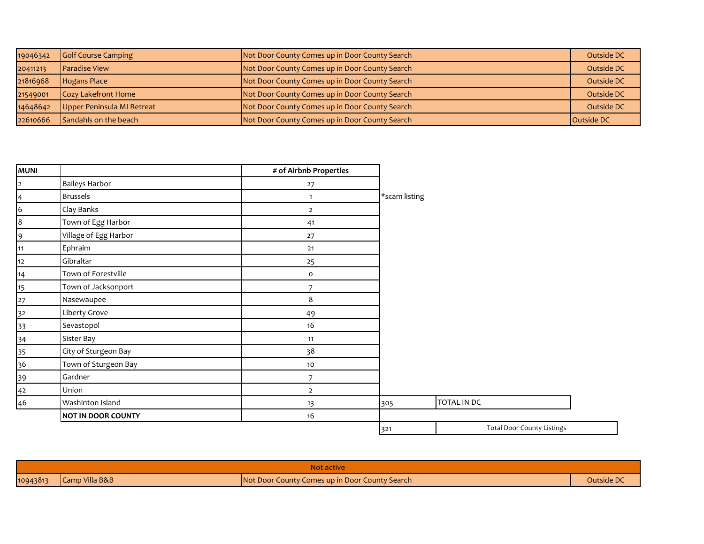| 19046342 | <b>Golf Course Camping</b> | Not Door County Comes up in Door County Search | Outside DC        |
|----------|----------------------------|------------------------------------------------|-------------------|
| 20411213 | <b>Paradise View</b>       | Not Door County Comes up in Door County Search | Outside DC        |
| 21816968 | Hogans Place               | Not Door County Comes up in Door County Search | Outside DC        |
| 21549001 | Cozy Lakefront Home        | Not Door County Comes up in Door County Search | Outside DC        |
| 14648642 | Upper Peninsula MI Retreat | Not Door County Comes up in Door County Search | Outside DC        |
| 22610666 | Sandahls on the beach      | Not Door County Comes up in Door County Search | <b>Outside DC</b> |

| <b>MUNI</b>      |                           | # of Airbnb Properties |               |             |                                   |
|------------------|---------------------------|------------------------|---------------|-------------|-----------------------------------|
| $\overline{2}$   | <b>Baileys Harbor</b>     | 27                     |               |             |                                   |
| $\overline{4}$   | <b>Brussels</b>           | $\mathbf{1}$           | *scam listing |             |                                   |
| $\sqrt{6}$       | Clay Banks                | $\overline{2}$         |               |             |                                   |
| $\boldsymbol{8}$ | Town of Egg Harbor        | 41                     |               |             |                                   |
| 9                | Village of Egg Harbor     | 27                     |               |             |                                   |
| 11               | Ephraim                   | $21$                   |               |             |                                   |
| 12               | Gibraltar                 | 25                     |               |             |                                   |
| 14               | Town of Forestville       | $\mathsf{o}\,$         |               |             |                                   |
| 15               | Town of Jacksonport       | 7                      |               |             |                                   |
| 27               | Nasewaupee                | 8                      |               |             |                                   |
| 32               | Liberty Grove             | 49                     |               |             |                                   |
| 33               | Sevastopol                | 16                     |               |             |                                   |
| 34               | Sister Bay                | 11                     |               |             |                                   |
| 35               | City of Sturgeon Bay      | 38                     |               |             |                                   |
| 36               | Town of Sturgeon Bay      | 10                     |               |             |                                   |
| 39               | Gardner                   | $\overline{7}$         |               |             |                                   |
| 42               | Union                     | $\overline{2}$         |               |             |                                   |
| 46               | Washinton Island          | 13                     | 305           | TOTAL IN DC |                                   |
|                  | <b>NOT IN DOOR COUNTY</b> | 16                     |               |             |                                   |
|                  |                           |                        | 321           |             | <b>Total Door County Listings</b> |

| Not active |                |                                                |            |  |  |
|------------|----------------|------------------------------------------------|------------|--|--|
| 10943813   | Camp Villa B&B | Not Door County Comes up in Door County Search | Outside DC |  |  |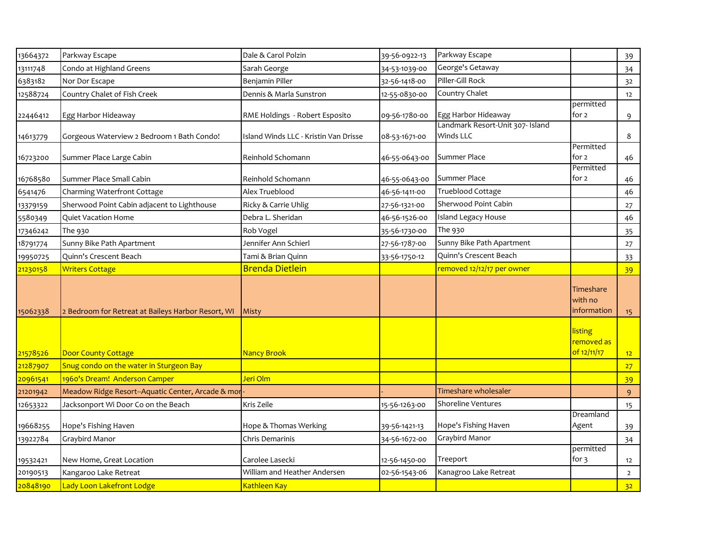| 13664372 | Parkway Escape                                     | Dale & Carol Polzin                   | 39-56-0922-13 | Parkway Escape                                |                                      | 39              |
|----------|----------------------------------------------------|---------------------------------------|---------------|-----------------------------------------------|--------------------------------------|-----------------|
| 13111748 | Condo at Highland Greens                           | Sarah George                          | 34-53-1039-00 | George's Getaway                              |                                      | 34              |
| 6383182  | Nor Dor Escape                                     | Benjamin Piller                       | 32-56-1418-00 | Piller-Gill Rock                              |                                      | 32              |
| 12588724 | Country Chalet of Fish Creek                       | Dennis & Marla Sunstron               | 12-55-0830-00 | Country Chalet                                |                                      | 12              |
| 22446412 | Egg Harbor Hideaway                                | RME Holdings - Robert Esposito        | 09-56-1780-00 | Egg Harbor Hideaway                           | permitted<br>for 2                   | 9               |
| 14613779 | Gorgeous Waterview 2 Bedroom 1 Bath Condo!         | Island Winds LLC - Kristin Van Drisse | 08-53-1671-00 | Landmark Resort-Unit 307- Island<br>Winds LLC |                                      | 8               |
| 16723200 | Summer Place Large Cabin                           | Reinhold Schomann                     | 46-55-0643-00 | Summer Place                                  | Permitted<br>for 2                   | 46              |
| 16768580 | Summer Place Small Cabin                           | Reinhold Schomann                     | 46-55-0643-00 | Summer Place                                  | Permitted<br>for 2                   | 46              |
| 6541476  | Charming Waterfront Cottage                        | Alex Trueblood                        | 46-56-1411-00 | Trueblood Cottage                             |                                      | 46              |
| 13379159 | Sherwood Point Cabin adjacent to Lighthouse        | Ricky & Carrie Uhlig                  | 27-56-1321-00 | Sherwood Point Cabin                          |                                      | 27              |
| 5580349  | Quiet Vacation Home                                | Debra L. Sheridan                     | 46-56-1526-00 | <b>Island Legacy House</b>                    |                                      | 46              |
| 17346242 | The 930                                            | Rob Vogel                             | 35-56-1730-00 | The 930                                       |                                      | 35              |
| 18791774 | Sunny Bike Path Apartment                          | Jennifer Ann Schierl                  | 27-56-1787-00 | Sunny Bike Path Apartment                     |                                      | 27              |
| 19950725 | Quinn's Crescent Beach                             | Tami & Brian Quinn                    | 33-56-1750-12 | Quinn's Crescent Beach                        |                                      | 33              |
| 21230158 | <b>Writers Cottage</b>                             | <b>Brenda Dietlein</b>                |               | removed 12/12/17 per owner                    |                                      | 39              |
| 15062338 | 2 Bedroom for Retreat at Baileys Harbor Resort, WI | Misty                                 |               |                                               | Timeshare<br>with no<br>information  | 15 <sup>7</sup> |
| 21578526 | <b>Door County Cottage</b>                         | <b>Nancy Brook</b>                    |               |                                               | listing<br>removed as<br>of 12/11/17 | 12 <sub>2</sub> |
| 21287907 | Snug condo on the water in Sturgeon Bay            |                                       |               |                                               |                                      | 27              |
| 20961541 | 1960's Dream! Anderson Camper                      | Jeri Olm                              |               |                                               |                                      | 39              |
| 21201942 | Meadow Ridge Resort--Aquatic Center, Arcade & mor  |                                       |               | Timeshare wholesaler                          |                                      | 9               |
| 12653322 | Jacksonport Wi Door Co on the Beach                | Kris Zeile                            | 15-56-1263-00 | <b>Shoreline Ventures</b>                     |                                      | 15              |
| 19668255 | Hope's Fishing Haven                               | Hope & Thomas Werking                 | 39-56-1421-13 | Hope's Fishing Haven                          | Dreamland<br>Agent                   | 39              |
| 13922784 | Graybird Manor                                     | Chris Demarinis                       | 34-56-1672-00 | Graybird Manor                                |                                      | 34              |
| 19532421 | New Home, Great Location                           | Carolee Lasecki                       | 12-56-1450-00 | Treeport                                      | permitted<br>for 3                   | 12              |
| 20190513 | Kangaroo Lake Retreat                              | William and Heather Andersen          | 02-56-1543-06 | Kanagroo Lake Retreat                         |                                      | $\overline{2}$  |
| 20848190 | Lady Loon Lakefront Lodge                          | Kathleen Kay                          |               |                                               |                                      | 32 <sub>2</sub> |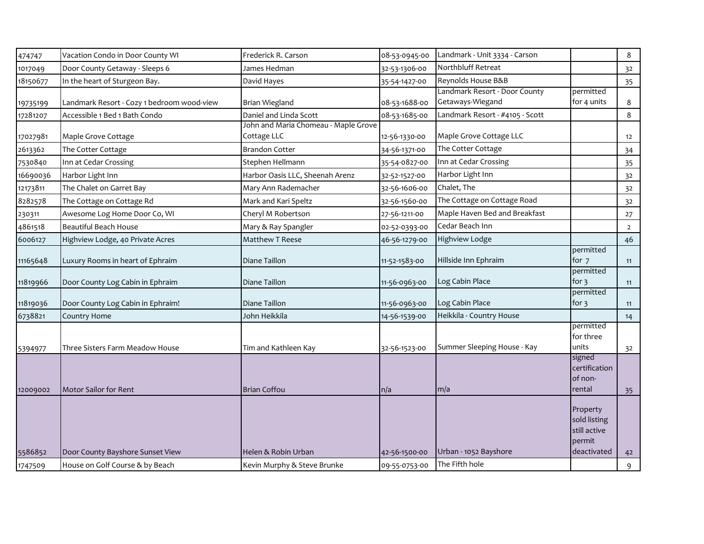| 474747   | Vacation Condo in Door County WI           | Frederick R. Carson                                 | 08-53-0945-00 | Landmark - Unit 3334 - Carson                     |                                                                   | 8              |
|----------|--------------------------------------------|-----------------------------------------------------|---------------|---------------------------------------------------|-------------------------------------------------------------------|----------------|
| 1017049  | Door County Getaway - Sleeps 6             | James Hedman                                        | 32-53-1306-00 | Northbluff Retreat                                |                                                                   | 3 <sup>2</sup> |
| 18150677 | In the heart of Sturgeon Bay.              | David Hayes                                         | 35-54-1427-00 | Reynolds House B&B                                |                                                                   | 35             |
| 19735199 | Landmark Resort - Cozy 1 bedroom wood-view | <b>Brian Wiegland</b>                               | 08-53-1688-00 | Landmark Resort - Door County<br>Getaways-Wiegand | permitted<br>for 4 units                                          | 8              |
| 17281207 | Accessible 1 Bed 1 Bath Condo              | Daniel and Linda Scott                              | 08-53-1685-00 | Landmark Resort - #4105 - Scott                   |                                                                   | 8              |
| 17027981 | Maple Grove Cottage                        | John and Maria Chomeau - Maple Grove<br>Cottage LLC | 12-56-1330-00 | Maple Grove Cottage LLC                           |                                                                   | 12             |
| 2613362  | The Cotter Cottage                         | <b>Brandon Cotter</b>                               | 34-56-1371-00 | The Cotter Cottage                                |                                                                   | 34             |
| 7530840  | Inn at Cedar Crossing                      | Stephen Hellmann                                    | 35-54-0827-00 | Inn at Cedar Crossing                             |                                                                   | 35             |
| 16690036 | Harbor Light Inn                           | Harbor Oasis LLC, Sheenah Arenz                     | 32-52-1527-00 | Harbor Light Inn                                  |                                                                   | 32             |
| 12173811 | The Chalet on Garret Bay                   | Mary Ann Rademacher                                 | 32-56-1606-00 | Chalet, The                                       |                                                                   | 32             |
| 8282578  | The Cottage on Cottage Rd                  | Mark and Kari Speltz                                | 32-56-1560-00 | The Cottage on Cottage Road                       |                                                                   | 32             |
| 230311   | Awesome Log Home Door Co, WI               | Cheryl M Robertson                                  | 27-56-1211-00 | Maple Haven Bed and Breakfast                     |                                                                   | 27             |
| 4861518  | <b>Beautiful Beach House</b>               | Mary & Ray Spangler                                 | 02-52-0393-00 | Cedar Beach Inn                                   |                                                                   | $\overline{2}$ |
| 6006127  | Highview Lodge, 40 Private Acres           | Matthew T Reese                                     | 46-56-1279-00 | Highview Lodge                                    |                                                                   | 46             |
| 11165648 | Luxury Rooms in heart of Ephraim           | Diane Taillon                                       | 11-52-1583-00 | Hillside Inn Ephraim                              | permitted<br>for 7                                                | 11             |
| 11819966 | Door County Log Cabin in Ephraim           | Diane Taillon                                       | 11-56-0963-00 | Log Cabin Place                                   | permitted<br>for $\frac{1}{2}$                                    | 11             |
| 11819036 | Door County Log Cabin in Ephraim!          | Diane Taillon                                       | 11-56-0963-00 | Log Cabin Place                                   | permitted<br>for $\overline{3}$                                   | 11             |
| 6738821  | Country Home                               | John Heikkila                                       | 14-56-1539-00 | Heikkila - Country House                          |                                                                   | 14             |
| 5394977  | Three Sisters Farm Meadow House            | Tim and Kathleen Kay                                | 32-56-1523-00 | Summer Sleeping House - Kay                       | permitted<br>for three<br>units                                   | 32             |
| 12009002 | Motor Sailor for Rent                      | <b>Brian Coffou</b>                                 | n/a           | m/a                                               | signed<br>certification<br>of non-<br>rental                      | 35             |
| 5586852  | Door County Bayshore Sunset View           | Helen & Robin Urban                                 | 42-56-1500-00 | Urban - 1052 Bayshore                             | Property<br>sold listing<br>still active<br>permit<br>deactivated | 42             |
| 1747509  | House on Golf Course & by Beach            | Kevin Murphy & Steve Brunke                         | 09-55-0753-00 | The Fifth hole                                    |                                                                   | 9              |